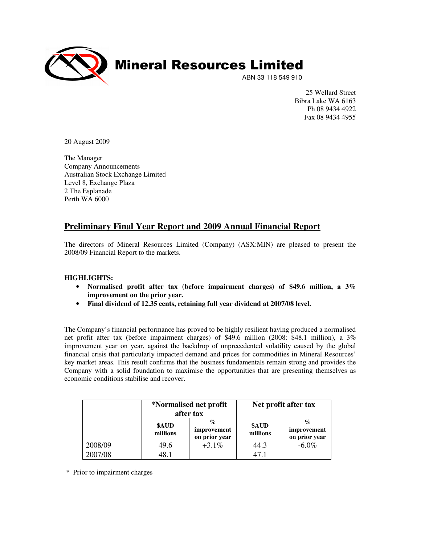

25 Wellard Street Bibra Lake WA 6163 Ph 08 9434 4922 Fax 08 9434 4955

20 August 2009

The Manager Company Announcements Australian Stock Exchange Limited Level 8, Exchange Plaza 2 The Esplanade Perth WA 6000

# **Preliminary Final Year Report and 2009 Annual Financial Report**

The directors of Mineral Resources Limited (Company) (ASX:MIN) are pleased to present the 2008/09 Financial Report to the markets.

# **HIGHLIGHTS:**

- **Normalised profit after tax (before impairment charges) of \$49.6 million, a 3% improvement on the prior year.**
- **Final dividend of 12.35 cents, retaining full year dividend at 2007/08 level.**

The Company's financial performance has proved to be highly resilient having produced a normalised net profit after tax (before impairment charges) of \$49.6 million (2008: \$48.1 million), a 3% improvement year on year, against the backdrop of unprecedented volatility caused by the global financial crisis that particularly impacted demand and prices for commodities in Mineral Resources' key market areas. This result confirms that the business fundamentals remain strong and provides the Company with a solid foundation to maximise the opportunities that are presenting themselves as economic conditions stabilise and recover.

|         |                   | *Normalised net profit<br>after tax                         |                   | Net profit after tax              |  |  |
|---------|-------------------|-------------------------------------------------------------|-------------------|-----------------------------------|--|--|
|         | \$AUD<br>millions | $\mathcal{G}_{\mathcal{C}}$<br>improvement<br>on prior year | \$AUD<br>millions | %<br>improvement<br>on prior year |  |  |
| 2008/09 | 49.6              | $+3.1\%$                                                    | 44.3              | $-6.0\%$                          |  |  |
| 2007/08 | 18 1              |                                                             | 47.1              |                                   |  |  |

\* Prior to impairment charges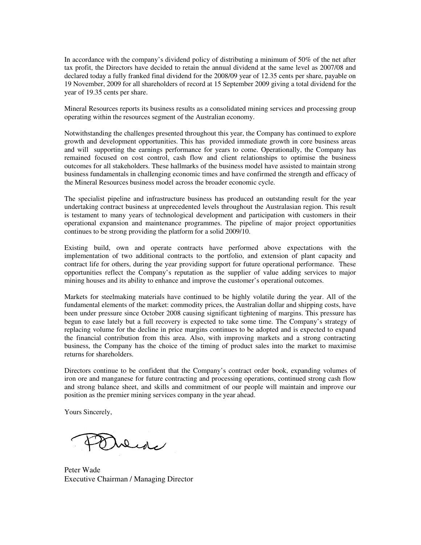In accordance with the company's dividend policy of distributing a minimum of 50% of the net after tax profit, the Directors have decided to retain the annual dividend at the same level as 2007/08 and declared today a fully franked final dividend for the 2008/09 year of 12.35 cents per share, payable on 19 November, 2009 for all shareholders of record at 15 September 2009 giving a total dividend for the year of 19.35 cents per share.

Mineral Resources reports its business results as a consolidated mining services and processing group operating within the resources segment of the Australian economy.

Notwithstanding the challenges presented throughout this year, the Company has continued to explore growth and development opportunities. This has provided immediate growth in core business areas and will supporting the earnings performance for years to come. Operationally, the Company has remained focused on cost control, cash flow and client relationships to optimise the business outcomes for all stakeholders. These hallmarks of the business model have assisted to maintain strong business fundamentals in challenging economic times and have confirmed the strength and efficacy of the Mineral Resources business model across the broader economic cycle.

The specialist pipeline and infrastructure business has produced an outstanding result for the year undertaking contract business at unprecedented levels throughout the Australasian region. This result is testament to many years of technological development and participation with customers in their operational expansion and maintenance programmes. The pipeline of major project opportunities continues to be strong providing the platform for a solid 2009/10.

Existing build, own and operate contracts have performed above expectations with the implementation of two additional contracts to the portfolio, and extension of plant capacity and contract life for others, during the year providing support for future operational performance. These opportunities reflect the Company's reputation as the supplier of value adding services to major mining houses and its ability to enhance and improve the customer's operational outcomes.

Markets for steelmaking materials have continued to be highly volatile during the year. All of the fundamental elements of the market: commodity prices, the Australian dollar and shipping costs, have been under pressure since October 2008 causing significant tightening of margins. This pressure has begun to ease lately but a full recovery is expected to take some time. The Company's strategy of replacing volume for the decline in price margins continues to be adopted and is expected to expand the financial contribution from this area. Also, with improving markets and a strong contracting business, the Company has the choice of the timing of product sales into the market to maximise returns for shareholders.

Directors continue to be confident that the Company's contract order book, expanding volumes of iron ore and manganese for future contracting and processing operations, continued strong cash flow and strong balance sheet, and skills and commitment of our people will maintain and improve our position as the premier mining services company in the year ahead.

Yours Sincerely,

Duene

Peter Wade Executive Chairman / Managing Director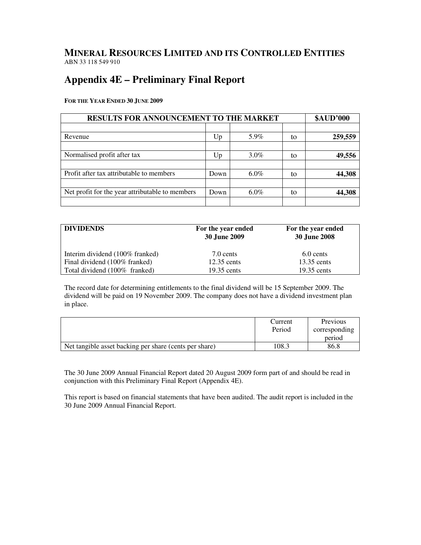# **MINERAL RESOURCES LIMITED AND ITS CONTROLLED ENTITIES** ABN 33 118 549 910

# **Appendix 4E – Preliminary Final Report**

**FOR THE YEAR ENDED 30 JUNE 2009**

| <b>RESULTS FOR ANNOUNCEMENT TO THE MARKET</b>   | <b>\$AUD'000</b> |         |    |         |
|-------------------------------------------------|------------------|---------|----|---------|
|                                                 |                  |         |    |         |
| Revenue                                         | Up               | 5.9%    | to | 259,559 |
|                                                 |                  |         |    |         |
| Normalised profit after tax                     | Up               | $3.0\%$ | tο | 49,556  |
|                                                 |                  |         |    |         |
| Profit after tax attributable to members        | Down             | $6.0\%$ | to | 44,308  |
|                                                 |                  |         |    |         |
| Net profit for the year attributable to members | Down             | $6.0\%$ | to | 44,308  |
|                                                 |                  |         |    |         |

| <b>DIVIDENDS</b>                | For the year ended<br><b>30 June 2009</b> | For the year ended<br>30 June 2008 |
|---------------------------------|-------------------------------------------|------------------------------------|
| Interim dividend (100% franked) | 7.0 cents                                 | 6.0 cents                          |
| Final dividend (100% franked)   | $12.35$ cents                             | 13.35 cents                        |
| Total dividend (100% franked)   | $19.35$ cents                             | $19.35$ cents                      |

The record date for determining entitlements to the final dividend will be 15 September 2009. The dividend will be paid on 19 November 2009. The company does not have a dividend investment plan in place.

|                                                        | Current<br>Period | Previous<br>corresponding |
|--------------------------------------------------------|-------------------|---------------------------|
|                                                        |                   | period                    |
| Net tangible asset backing per share (cents per share) | 108.3             | 86.8                      |

The 30 June 2009 Annual Financial Report dated 20 August 2009 form part of and should be read in conjunction with this Preliminary Final Report (Appendix 4E).

This report is based on financial statements that have been audited. The audit report is included in the 30 June 2009 Annual Financial Report.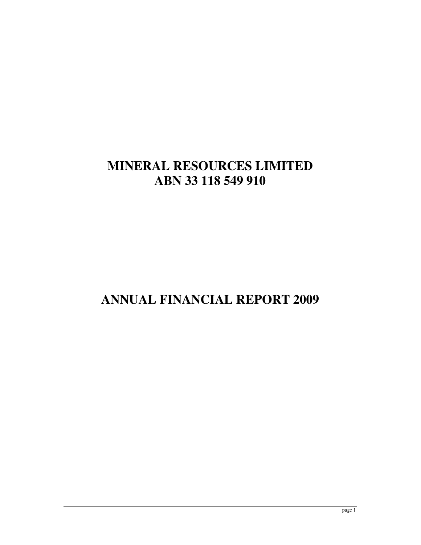# **MINERAL RESOURCES LIMITED ABN 33 118 549 910**

# **ANNUAL FINANCIAL REPORT 2009**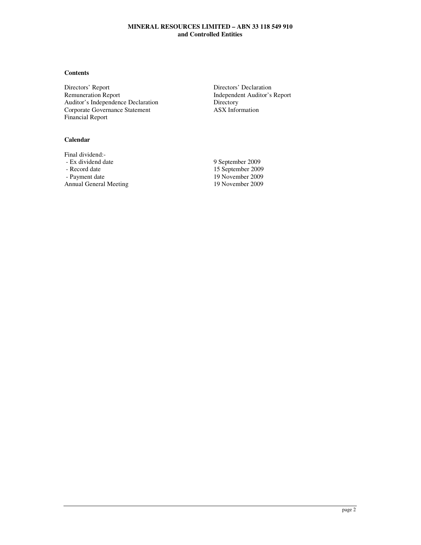## **Contents**

Directors' Report Directors' Declaration<br>
Remuneration Report Directors' Declaration<br>
Independent Auditor's Auditor's Independence Declaration<br>
Corporate Governance Statement<br>
ASX Information Corporate Governance Statement Financial Report

## **Calendar**

Final dividend:<br>- Ex dividend date - Record date 15 September 2009<br>15 September 2009<br>19 November 2009 Annual General Meeting

Independent Auditor's Report<br>Directory

9 September 2009 19 November 2009<br>19 November 2009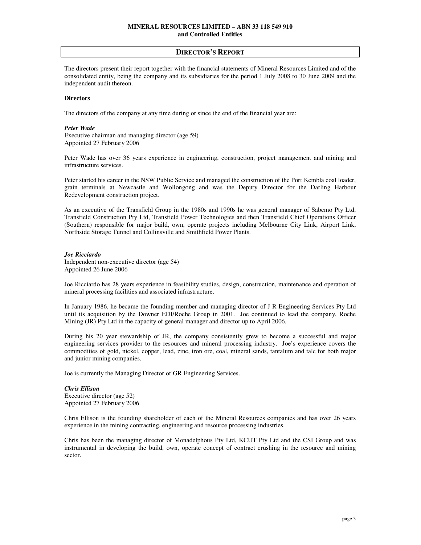The directors present their report together with the financial statements of Mineral Resources Limited and of the consolidated entity, being the company and its subsidiaries for the period 1 July 2008 to 30 June 2009 and the independent audit thereon.

#### **Directors**

The directors of the company at any time during or since the end of the financial year are:

#### *Peter Wade*

Executive chairman and managing director (age 59) Appointed 27 February 2006

Peter Wade has over 36 years experience in engineering, construction, project management and mining and infrastructure services.

Peter started his career in the NSW Public Service and managed the construction of the Port Kembla coal loader, grain terminals at Newcastle and Wollongong and was the Deputy Director for the Darling Harbour Redevelopment construction project.

As an executive of the Transfield Group in the 1980s and 1990s he was general manager of Sabemo Pty Ltd, Transfield Construction Pty Ltd, Transfield Power Technologies and then Transfield Chief Operations Officer (Southern) responsible for major build, own, operate projects including Melbourne City Link, Airport Link, Northside Storage Tunnel and Collinsville and Smithfield Power Plants.

#### *Joe Ricciardo*

Independent non-executive director (age 54) Appointed 26 June 2006

Joe Ricciardo has 28 years experience in feasibility studies, design, construction, maintenance and operation of mineral processing facilities and associated infrastructure.

In January 1986, he became the founding member and managing director of J R Engineering Services Pty Ltd until its acquisition by the Downer EDI/Roche Group in 2001. Joe continued to lead the company, Roche Mining (JR) Pty Ltd in the capacity of general manager and director up to April 2006.

During his 20 year stewardship of JR, the company consistently grew to become a successful and major engineering services provider to the resources and mineral processing industry. Joe's experience covers the commodities of gold, nickel, copper, lead, zinc, iron ore, coal, mineral sands, tantalum and talc for both major and junior mining companies.

Joe is currently the Managing Director of GR Engineering Services.

#### *Chris Ellison*  Executive director (age 52) Appointed 27 February 2006

Chris Ellison is the founding shareholder of each of the Mineral Resources companies and has over 26 years experience in the mining contracting, engineering and resource processing industries.

Chris has been the managing director of Monadelphous Pty Ltd, KCUT Pty Ltd and the CSI Group and was instrumental in developing the build, own, operate concept of contract crushing in the resource and mining sector.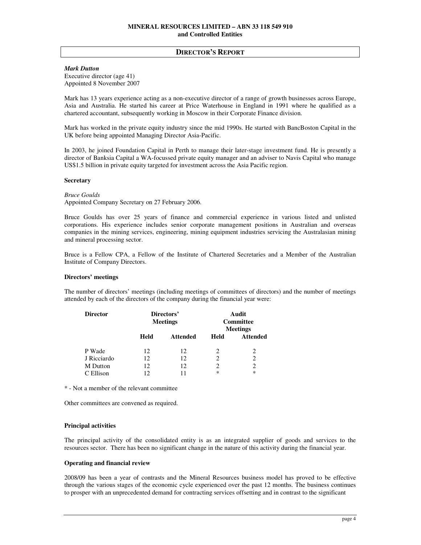#### *Mark Dutton*

Executive director (age 41) Appointed 8 November 2007

Mark has 13 years experience acting as a non-executive director of a range of growth businesses across Europe, Asia and Australia. He started his career at Price Waterhouse in England in 1991 where he qualified as a chartered accountant, subsequently working in Moscow in their Corporate Finance division.

Mark has worked in the private equity industry since the mid 1990s. He started with BancBoston Capital in the UK before being appointed Managing Director Asia-Pacific.

In 2003, he joined Foundation Capital in Perth to manage their later-stage investment fund. He is presently a director of Banksia Capital a WA-focussed private equity manager and an adviser to Navis Capital who manage US\$1.5 billion in private equity targeted for investment across the Asia Pacific region.

#### **Secretary**

*Bruce Goulds*  Appointed Company Secretary on 27 February 2006.

Bruce Goulds has over 25 years of finance and commercial experience in various listed and unlisted corporations. His experience includes senior corporate management positions in Australian and overseas companies in the mining services, engineering, mining equipment industries servicing the Australasian mining and mineral processing sector.

Bruce is a Fellow CPA, a Fellow of the Institute of Chartered Secretaries and a Member of the Australian Institute of Company Directors.

#### **Directors' meetings**

The number of directors' meetings (including meetings of committees of directors) and the number of meetings attended by each of the directors of the company during the financial year were:

| <b>Director</b> |      | Directors'<br><b>Meetings</b> | Audit<br><b>Committee</b><br><b>Meetings</b> |                 |  |
|-----------------|------|-------------------------------|----------------------------------------------|-----------------|--|
|                 | Held | <b>Attended</b>               | Held                                         | <b>Attended</b> |  |
| P Wade          | 12   | 12                            | 2                                            | 2               |  |
| J Ricciardo     | 12   | 12                            | 2                                            | 2               |  |
| M Dutton        | 12   | 12                            | 2                                            | 2               |  |
| C Ellison       | 12   | 11                            | $\ast$                                       | $\ast$          |  |

\* - Not a member of the relevant committee

Other committees are convened as required.

#### **Principal activities**

The principal activity of the consolidated entity is as an integrated supplier of goods and services to the resources sector. There has been no significant change in the nature of this activity during the financial year.

#### **Operating and financial review**

2008/09 has been a year of contrasts and the Mineral Resources business model has proved to be effective through the various stages of the economic cycle experienced over the past 12 months. The business continues to prosper with an unprecedented demand for contracting services offsetting and in contrast to the significant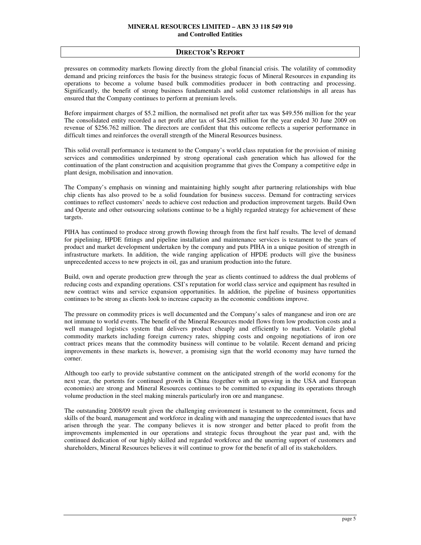## **DIRECTOR'S REPORT**

pressures on commodity markets flowing directly from the global financial crisis. The volatility of commodity demand and pricing reinforces the basis for the business strategic focus of Mineral Resources in expanding its operations to become a volume based bulk commodities producer in both contracting and processing. Significantly, the benefit of strong business fundamentals and solid customer relationships in all areas has ensured that the Company continues to perform at premium levels.

Before impairment charges of \$5.2 million, the normalised net profit after tax was \$49.556 million for the year The consolidated entity recorded a net profit after tax of \$44.285 million for the year ended 30 June 2009 on revenue of \$256.762 million. The directors are confident that this outcome reflects a superior performance in difficult times and reinforces the overall strength of the Mineral Resources business.

This solid overall performance is testament to the Company's world class reputation for the provision of mining services and commodities underpinned by strong operational cash generation which has allowed for the continuation of the plant construction and acquisition programme that gives the Company a competitive edge in plant design, mobilisation and innovation.

The Company's emphasis on winning and maintaining highly sought after partnering relationships with blue chip clients has also proved to be a solid foundation for business success. Demand for contracting services continues to reflect customers' needs to achieve cost reduction and production improvement targets. Build Own and Operate and other outsourcing solutions continue to be a highly regarded strategy for achievement of these targets.

PIHA has continued to produce strong growth flowing through from the first half results. The level of demand for pipelining, HPDE fittings and pipeline installation and maintenance services is testament to the years of product and market development undertaken by the company and puts PIHA in a unique position of strength in infrastructure markets. In addition, the wide ranging application of HPDE products will give the business unprecedented access to new projects in oil, gas and uranium production into the future.

Build, own and operate production grew through the year as clients continued to address the dual problems of reducing costs and expanding operations. CSI's reputation for world class service and equipment has resulted in new contract wins and service expansion opportunities. In addition, the pipeline of business opportunities continues to be strong as clients look to increase capacity as the economic conditions improve.

The pressure on commodity prices is well documented and the Company's sales of manganese and iron ore are not immune to world events. The benefit of the Mineral Resources model flows from low production costs and a well managed logistics system that delivers product cheaply and efficiently to market. Volatile global commodity markets including foreign currency rates, shipping costs and ongoing negotiations of iron ore contract prices means that the commodity business will continue to be volatile. Recent demand and pricing improvements in these markets is, however, a promising sign that the world economy may have turned the corner.

Although too early to provide substantive comment on the anticipated strength of the world economy for the next year, the portents for continued growth in China (together with an upswing in the USA and European economies) are strong and Mineral Resources continues to be committed to expanding its operations through volume production in the steel making minerals particularly iron ore and manganese.

The outstanding 2008/09 result given the challenging environment is testament to the commitment, focus and skills of the board, management and workforce in dealing with and managing the unprecedented issues that have arisen through the year. The company believes it is now stronger and better placed to profit from the improvements implemented in our operations and strategic focus throughout the year past and, with the continued dedication of our highly skilled and regarded workforce and the unerring support of customers and shareholders, Mineral Resources believes it will continue to grow for the benefit of all of its stakeholders.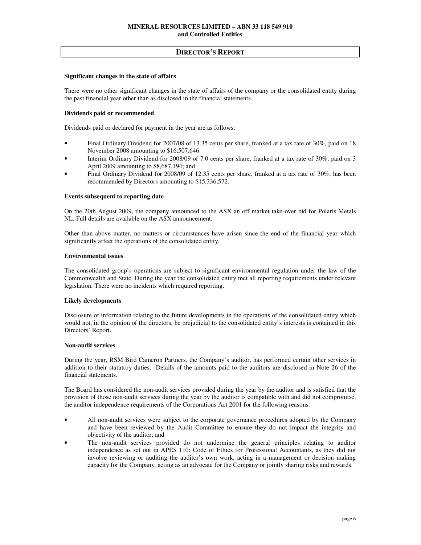## **Significant changes in the state of affairs**

There were no other significant changes in the state of affairs of the company or the consolidated entity during the past financial year other than as disclosed in the financial statements.

## **Dividends paid or recommended**

Dividends paid or declared for payment in the year are as follows:

- Final Ordinary Dividend for 2007/08 of 13.35 cents per share, franked at a tax rate of 30%, paid on 18 November 2008 amounting to \$16,507,646.
- Interim Ordinary Dividend for 2008/09 of 7.0 cents per share, franked at a tax rate of 30%, paid on 3 April 2009 amounting to \$8,687,194; and
- Final Ordinary Dividend for 2008/09 of 12.35 cents per share, franked at a tax rate of 30%, has been recommended by Directors amounting to \$15,336,572.

#### **Events subsequent to reporting date**

On the 20th August 2009, the company announced to the ASX an off market take-over bid for Polaris Metals NL. Full details are available on the ASX announcement.

Other than above matter, no matters or circumstances have arisen since the end of the financial year which significantly affect the operations of the consolidated entity.

#### **Environmental issues**

The consolidated group's operations are subject to significant environmental regulation under the law of the Commonwealth and State. During the year the consolidated entity met all reporting requirements under relevant legislation. There were no incidents which required reporting.

#### **Likely developments**

Disclosure of information relating to the future developments in the operations of the consolidated entity which would not, in the opinion of the directors, be prejudicial to the consolidated entity's interests is contained in this Directors' Report.

#### **Non-audit services**

During the year, RSM Bird Cameron Partners, the Company's auditor, has performed certain other services in addition to their statutory duties. Details of the amounts paid to the auditors are disclosed in Note 26 of the financial statements.

The Board has considered the non-audit services provided during the year by the auditor and is satisfied that the provision of those non-audit services during the year by the auditor is compatible with and did not compromise, the auditor independence requirements of the Corporations Act 2001 for the following reasons:

- All non-audit services were subject to the corporate governance procedures adopted by the Company and have been reviewed by the Audit Committee to ensure they do not impact the integrity and objectivity of the auditor; and
- The non-audit services provided do not undermine the general principles relating to auditor independence as set out in APES 110: Code of Ethics for Professional Accountants, as they did not involve reviewing or auditing the auditor's own work, acting in a management or decision making capacity for the Company, acting as an advocate for the Company or jointly sharing risks and rewards.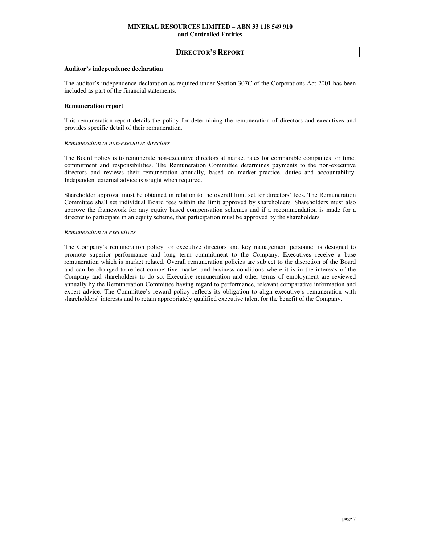#### **Auditor's independence declaration**

The auditor's independence declaration as required under Section 307C of the Corporations Act 2001 has been included as part of the financial statements.

## **Remuneration report**

This remuneration report details the policy for determining the remuneration of directors and executives and provides specific detail of their remuneration.

## *Remuneration of non-executive directors*

The Board policy is to remunerate non-executive directors at market rates for comparable companies for time, commitment and responsibilities. The Remuneration Committee determines payments to the non-executive directors and reviews their remuneration annually, based on market practice, duties and accountability. Independent external advice is sought when required.

Shareholder approval must be obtained in relation to the overall limit set for directors' fees. The Remuneration Committee shall set individual Board fees within the limit approved by shareholders. Shareholders must also approve the framework for any equity based compensation schemes and if a recommendation is made for a director to participate in an equity scheme, that participation must be approved by the shareholders

## *Remuneration of executives*

The Company's remuneration policy for executive directors and key management personnel is designed to promote superior performance and long term commitment to the Company. Executives receive a base remuneration which is market related. Overall remuneration policies are subject to the discretion of the Board and can be changed to reflect competitive market and business conditions where it is in the interests of the Company and shareholders to do so. Executive remuneration and other terms of employment are reviewed annually by the Remuneration Committee having regard to performance, relevant comparative information and expert advice. The Committee's reward policy reflects its obligation to align executive's remuneration with shareholders' interests and to retain appropriately qualified executive talent for the benefit of the Company.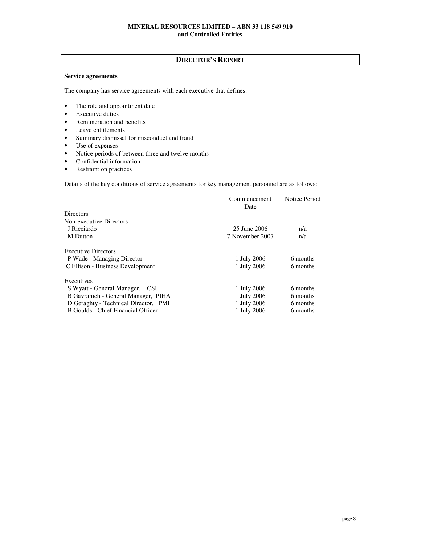## **Service agreements**

The company has service agreements with each executive that defines:

- The role and appointment date
- Executive duties
- Remuneration and benefits
- Leave entitlements
- Summary dismissal for misconduct and fraud
- Use of expenses
- Notice periods of between three and twelve months
- Confidential information
- Restraint on practices

Details of the key conditions of service agreements for key management personnel are as follows:

|                                      | Commencement<br>Date | Notice Period |
|--------------------------------------|----------------------|---------------|
| <b>Directors</b>                     |                      |               |
| Non-executive Directors              |                      |               |
| J Ricciardo                          | 25 June 2006         | n/a           |
| M Dutton                             | 7 November 2007      | n/a           |
| <b>Executive Directors</b>           |                      |               |
| P Wade - Managing Director           | 1 July 2006          | 6 months      |
| C Ellison - Business Development     | 1 July 2006          | 6 months      |
| Executives                           |                      |               |
| S Wyatt - General Manager, CSI       | 1 July 2006          | 6 months      |
| B Gavranich - General Manager, PIHA  | 1 July 2006          | 6 months      |
| D Geraghty - Technical Director, PMI | 1 July 2006          | 6 months      |
| B Goulds - Chief Financial Officer   | 1 July 2006          | 6 months      |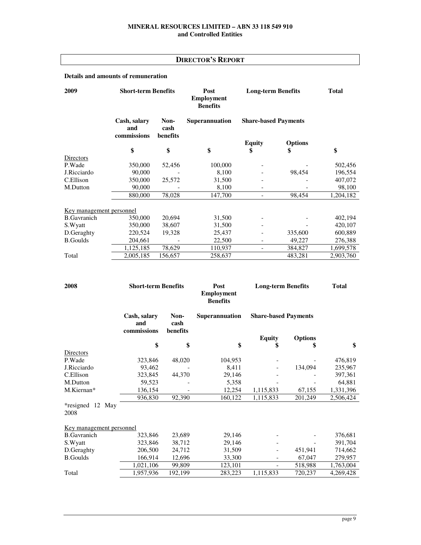## **Details and amounts of remuneration**

| 2009                            | <b>Short-term Benefits</b>         |                          | Post<br><b>Employment</b><br><b>Benefits</b> | <b>Long-term Benefits</b>   |                | <b>Total</b> |
|---------------------------------|------------------------------------|--------------------------|----------------------------------------------|-----------------------------|----------------|--------------|
|                                 | Cash, salary<br>and<br>commissions | Non-<br>cash<br>benefits | <b>Superannuation</b>                        | <b>Share-based Payments</b> |                |              |
|                                 |                                    |                          |                                              | <b>Equity</b>               | <b>Options</b> |              |
|                                 | \$                                 | \$                       | \$                                           | \$                          | \$             | \$           |
| Directors                       |                                    |                          |                                              |                             |                |              |
| P.Wade                          | 350,000                            | 52,456                   | 100,000                                      |                             |                | 502,456      |
| J.Ricciardo                     | 90,000                             |                          | 8,100                                        |                             | 98.454         | 196,554      |
| C.Ellison                       | 350,000                            | 25,572                   | 31,500                                       |                             |                | 407,072      |
| M.Dutton                        | 90,000                             |                          | 8,100                                        | $\overline{\phantom{a}}$    |                | 98,100       |
|                                 | 880,000                            | 78,028                   | 147,700                                      | $\overline{\phantom{a}}$    | 98,454         | 1,204,182    |
| <u>Key management</u> personnel |                                    |                          |                                              |                             |                |              |
| <b>B.Gavranich</b>              | 350,000                            | 20,694                   | 31,500                                       |                             |                | 402,194      |
| S.Wyatt                         | 350,000                            | 38,607                   | 31,500                                       |                             |                | 420,107      |
| D.Geraghty                      | 220,524                            | 19,328                   | 25,437                                       |                             | 335,600        | 600,889      |
| <b>B.Goulds</b>                 | 204,661                            |                          | 22,500                                       |                             | 49,227         | 276,388      |
|                                 | 1,125,185                          | 78,629                   | 110,937                                      | $\overline{\phantom{a}}$    | 384,827        | 1,699,578    |
| Total                           | 2,005,185                          | 156,657                  | 258,637                                      |                             | 483,281        | 2,903,760    |
|                                 |                                    |                          |                                              |                             |                |              |

| 2008                            | <b>Short-term Benefits</b>         |                          | Post<br><b>Employment</b><br><b>Benefits</b> | <b>Long-term Benefits</b>   |                | <b>Total</b> |  |
|---------------------------------|------------------------------------|--------------------------|----------------------------------------------|-----------------------------|----------------|--------------|--|
|                                 | Cash, salary<br>and<br>commissions | Non-<br>cash<br>benefits | Superannuation                               | <b>Share-based Payments</b> |                |              |  |
|                                 |                                    |                          |                                              | <b>Equity</b>               | <b>Options</b> |              |  |
|                                 | \$                                 | \$                       | \$                                           | \$                          | \$             | \$           |  |
| Directors                       |                                    |                          |                                              |                             |                |              |  |
| P.Wade                          | 323,846                            | 48,020                   | 104,953                                      |                             |                | 476,819      |  |
| J.Ricciardo                     | 93,462                             |                          | 8,411                                        |                             | 134,094        | 235,967      |  |
| C.Ellison                       | 323,845                            | 44,370                   | 29,146                                       |                             |                | 397,361      |  |
| M.Dutton                        | 59,523                             |                          | 5,358                                        |                             |                | 64,881       |  |
| M.Kiernan*                      | 136,154                            |                          | 12,254                                       | 1,115,833                   | 67,155         | 1,331,396    |  |
|                                 | 936,830                            | 92,390                   | 160,122                                      | 1,115,833                   | 201,249        | 2,506,424    |  |
| *resigned 12 May<br>2008        |                                    |                          |                                              |                             |                |              |  |
| <u>Key management</u> personnel |                                    |                          |                                              |                             |                |              |  |
| <b>B.Gavranich</b>              | 323,846                            | 23,689                   | 29,146                                       |                             |                | 376,681      |  |
| S.Wyatt                         | 323,846                            | 38,712                   | 29,146                                       |                             |                | 391,704      |  |
| D.Geraghty                      | 206,500                            | 24,712                   | 31,509                                       |                             | 451,941        | 714,662      |  |
| <b>B.Goulds</b>                 | 166,914                            | 12,696                   | 33,300                                       |                             | 67,047         | 279,957      |  |
|                                 | 1,021,106                          | 99,809                   | 123,101                                      | $\overline{\phantom{0}}$    | 518,988        | 1,763,004    |  |
| Total                           | 1,957,936                          | 192,199                  | 283,223                                      | 1,115,833                   | 720,237        | 4,269,428    |  |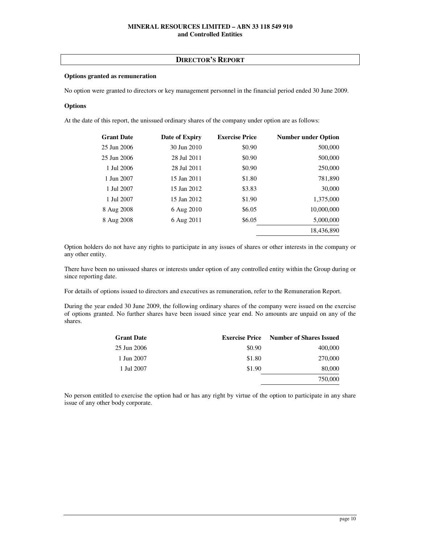## **DIRECTOR'S REPORT**

## **Options granted as remuneration**

No option were granted to directors or key management personnel in the financial period ended 30 June 2009.

## **Options**

At the date of this report, the unissued ordinary shares of the company under option are as follows:

| <b>Grant Date</b> | Date of Expiry | <b>Exercise Price</b> | <b>Number under Option</b> |
|-------------------|----------------|-----------------------|----------------------------|
| 25 Jun 2006       | 30 Jun 2010    | \$0.90                | 500,000                    |
| 25 Jun 2006       | 28 Jul 2011    | \$0.90                | 500,000                    |
| 1 Jul 2006        | 28 Jul 2011    | \$0.90                | 250,000                    |
| 1 Jun 2007        | 15 Jan 2011    | \$1.80                | 781,890                    |
| 1 Jul 2007        | 15 Jan 2012    | \$3.83                | 30,000                     |
| 1 Jul 2007        | 15 Jan 2012    | \$1.90                | 1,375,000                  |
| 8 Aug 2008        | 6 Aug 2010     | \$6.05                | 10,000,000                 |
| 8 Aug 2008        | 6 Aug 2011     | \$6.05                | 5,000,000                  |
|                   |                |                       | 18,436,890                 |

Option holders do not have any rights to participate in any issues of shares or other interests in the company or any other entity.

There have been no unissued shares or interests under option of any controlled entity within the Group during or since reporting date.

For details of options issued to directors and executives as remuneration, refer to the Remuneration Report.

During the year ended 30 June 2009, the following ordinary shares of the company were issued on the exercise of options granted. No further shares have been issued since year end. No amounts are unpaid on any of the shares.

| <b>Grant Date</b> | <b>Exercise Price</b> | <b>Number of Shares Issued</b> |
|-------------------|-----------------------|--------------------------------|
| 25 Jun 2006       | \$0.90                | 400,000                        |
| 1 Jun 2007        | \$1.80                | 270,000                        |
| 1 Jul 2007        | \$1.90                | 80,000                         |
|                   |                       | 750,000                        |

No person entitled to exercise the option had or has any right by virtue of the option to participate in any share issue of any other body corporate.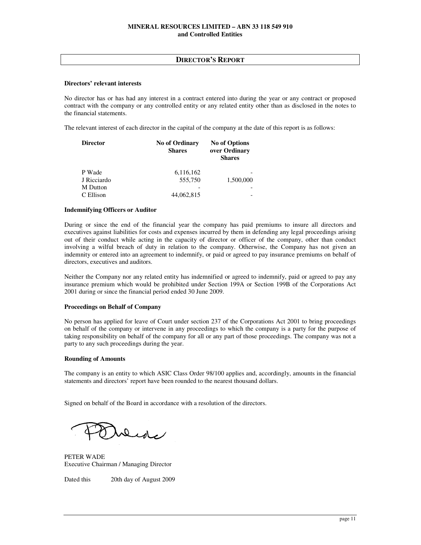## **DIRECTOR'S REPORT**

## **Directors' relevant interests**

No director has or has had any interest in a contract entered into during the year or any contract or proposed contract with the company or any controlled entity or any related entity other than as disclosed in the notes to the financial statements.

The relevant interest of each director in the capital of the company at the date of this report is as follows:

| <b>Director</b> | <b>No of Ordinary</b><br><b>Shares</b> | <b>No of Options</b><br>over Ordinary<br><b>Shares</b> |
|-----------------|----------------------------------------|--------------------------------------------------------|
| P Wade          | 6,116,162                              |                                                        |
| J Ricciardo     | 555,750                                | 1,500,000                                              |
| <b>M</b> Dutton |                                        |                                                        |
| C Ellison       | 44,062,815                             |                                                        |

## **Indemnifying Officers or Auditor**

During or since the end of the financial year the company has paid premiums to insure all directors and executives against liabilities for costs and expenses incurred by them in defending any legal proceedings arising out of their conduct while acting in the capacity of director or officer of the company, other than conduct involving a wilful breach of duty in relation to the company. Otherwise, the Company has not given an indemnity or entered into an agreement to indemnify, or paid or agreed to pay insurance premiums on behalf of directors, executives and auditors.

Neither the Company nor any related entity has indemnified or agreed to indemnify, paid or agreed to pay any insurance premium which would be prohibited under Section 199A or Section 199B of the Corporations Act 2001 during or since the financial period ended 30 June 2009.

## **Proceedings on Behalf of Company**

No person has applied for leave of Court under section 237 of the Corporations Act 2001 to bring proceedings on behalf of the company or intervene in any proceedings to which the company is a party for the purpose of taking responsibility on behalf of the company for all or any part of those proceedings. The company was not a party to any such proceedings during the year.

#### **Rounding of Amounts**

The company is an entity to which ASIC Class Order 98/100 applies and, accordingly, amounts in the financial statements and directors' report have been rounded to the nearest thousand dollars.

Signed on behalf of the Board in accordance with a resolution of the directors.

Dede

PETER WADE Executive Chairman / Managing Director

Dated this 20th day of August 2009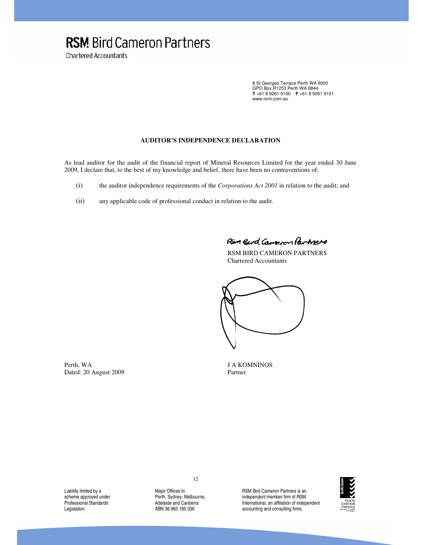# **RSM** Bird Cameron Partners

**Chartered Accountants** 

8 St Georges Terrace Perth WA 6000 GPO Box R1253 Perth WA 6844 **T** +61 8 9261 9100 **F** +61 8 9261 9101 www.rsmi.com.au

## **AUDITOR'S INDEPENDENCE DECLARATION**

As lead auditor for the audit of the financial report of Mineral Resources Limited for the year ended 30 June 2009, I declare that, to the best of my knowledge and belief, there have been no contraventions of:

- (i) the auditor independence requirements of the *Corporations Act 2001* in relation to the audit; and
- (ii) any applicable code of professional conduct in relation to the audit.

Ram Bard Campoon Partners

 RSM BIRD CAMERON PARTNERS Chartered Accountants



Dated: 20 August 2009 Partner

Perth, WA J A KOMNINOS

Liability limited by a scheme approved under Professional Standards Legislation

Major Offices in: Perth, Sydney, Melbourne, Adelaide and Canberra ABN 36 965 185 036

12

RSM Bird Cameron Partners is an independent member firm of RSM International, an affiliation of independent accounting and consulting firms.

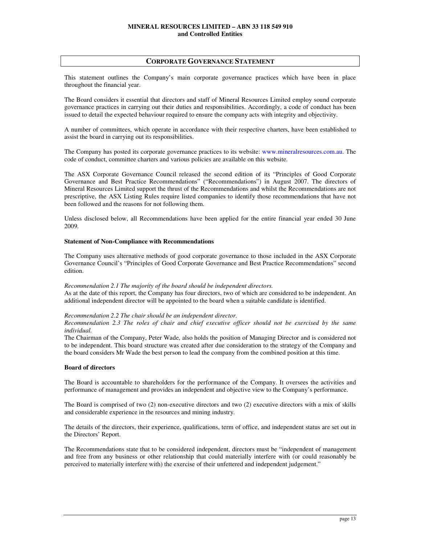## **CORPORATE GOVERNANCE STATEMENT**

This statement outlines the Company's main corporate governance practices which have been in place throughout the financial year.

The Board considers it essential that directors and staff of Mineral Resources Limited employ sound corporate governance practices in carrying out their duties and responsibilities. Accordingly, a code of conduct has been issued to detail the expected behaviour required to ensure the company acts with integrity and objectivity.

A number of committees, which operate in accordance with their respective charters, have been established to assist the board in carrying out its responsibilities.

The Company has posted its corporate governance practices to its website: www.mineralresources.com.au. The code of conduct, committee charters and various policies are available on this website.

The ASX Corporate Governance Council released the second edition of its "Principles of Good Corporate Governance and Best Practice Recommendations" ("Recommendations") in August 2007. The directors of Mineral Resources Limited support the thrust of the Recommendations and whilst the Recommendations are not prescriptive, the ASX Listing Rules require listed companies to identify those recommendations that have not been followed and the reasons for not following them.

Unless disclosed below, all Recommendations have been applied for the entire financial year ended 30 June 2009.

## **Statement of Non-Compliance with Recommendations**

The Company uses alternative methods of good corporate governance to those included in the ASX Corporate Governance Council's "Principles of Good Corporate Governance and Best Practice Recommendations" second edition.

#### *Recommendation 2.1 The majority of the board should be independent directors.*

As at the date of this report, the Company has four directors, two of which are considered to be independent. An additional independent director will be appointed to the board when a suitable candidate is identified.

#### *Recommendation 2.2 The chair should be an independent director.*

*Recommendation 2.3 The roles of chair and chief executive officer should not be exercised by the same individual.* 

The Chairman of the Company, Peter Wade, also holds the position of Managing Director and is considered not to be independent. This board structure was created after due consideration to the strategy of the Company and the board considers Mr Wade the best person to lead the company from the combined position at this time.

## **Board of directors**

The Board is accountable to shareholders for the performance of the Company. It oversees the activities and performance of management and provides an independent and objective view to the Company's performance.

The Board is comprised of two (2) non-executive directors and two (2) executive directors with a mix of skills and considerable experience in the resources and mining industry.

The details of the directors, their experience, qualifications, term of office, and independent status are set out in the Directors' Report.

The Recommendations state that to be considered independent, directors must be "independent of management and free from any business or other relationship that could materially interfere with (or could reasonably be perceived to materially interfere with) the exercise of their unfettered and independent judgement."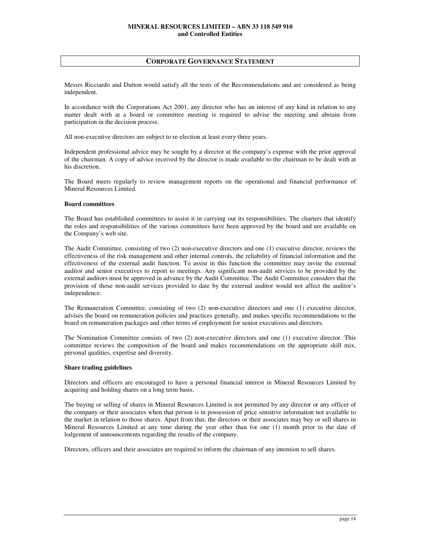## **CORPORATE GOVERNANCE STATEMENT**

Messrs Ricciardo and Dutton would satisfy all the tests of the Recommendations and are considered as being independent.

In accordance with the Corporations Act 2001, any director who has an interest of any kind in relation to any matter dealt with at a board or committee meeting is required to advise the meeting and abstain from participation in the decision process.

All non-executive directors are subject to re-election at least every three years.

Independent professional advice may be sought by a director at the company's expense with the prior approval of the chairman. A copy of advice received by the director is made available to the chairman to be dealt with at his discretion.

The Board meets regularly to review management reports on the operational and financial performance of Mineral Resources Limited.

## **Board committees**

The Board has established committees to assist it in carrying out its responsibilities. The charters that identify the roles and responsibilities of the various committees have been approved by the board and are available on the Company's web site.

The Audit Committee, consisting of two (2) non-executive directors and one (1) executive director, reviews the effectiveness of the risk management and other internal controls, the reliability of financial information and the effectiveness of the external audit function. To assist in this function the committee may invite the external auditor and senior executives to report to meetings. Any significant non-audit services to be provided by the external auditors must be approved in advance by the Audit Committee. The Audit Committee considers that the provision of those non-audit services provided to date by the external auditor would not affect the auditor's independence.

The Remuneration Committee, consisting of two (2) non-executive directors and one (1) executive director, advises the board on remuneration policies and practices generally, and makes specific recommendations to the board on remuneration packages and other terms of employment for senior executives and directors.

The Nomination Committee consists of two (2) non-executive directors and one (1) executive director. This committee reviews the composition of the board and makes recommendations on the appropriate skill mix, personal qualities, expertise and diversity.

#### **Share trading guidelines**

Directors and officers are encouraged to have a personal financial interest in Mineral Resources Limited by acquiring and holding shares on a long term basis.

The buying or selling of shares in Mineral Resources Limited is not permitted by any director or any officer of the company or their associates when that person is in possession of price sensitive information not available to the market in relation to those shares. Apart from that, the directors or their associates may buy or sell shares in Mineral Resources Limited at any time during the year other than for one (1) month prior to the date of lodgement of announcements regarding the results of the company.

Directors, officers and their associates are required to inform the chairman of any intention to sell shares.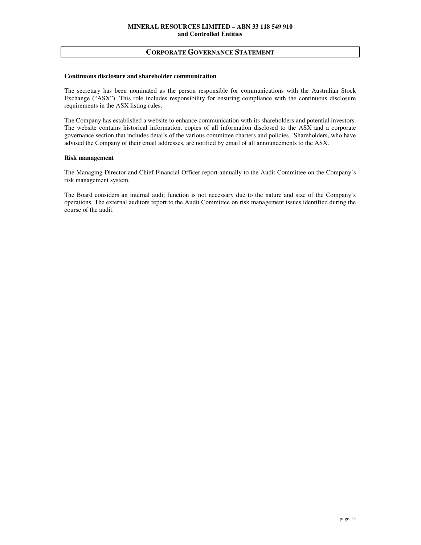## **CORPORATE GOVERNANCE STATEMENT**

#### **Continuous disclosure and shareholder communication**

The secretary has been nominated as the person responsible for communications with the Australian Stock Exchange ("ASX"). This role includes responsibility for ensuring compliance with the continuous disclosure requirements in the ASX listing rules.

The Company has established a website to enhance communication with its shareholders and potential investors. The website contains historical information, copies of all information disclosed to the ASX and a corporate governance section that includes details of the various committee charters and policies. Shareholders, who have advised the Company of their email addresses, are notified by email of all announcements to the ASX.

#### **Risk management**

The Managing Director and Chief Financial Officer report annually to the Audit Committee on the Company's risk management system.

The Board considers an internal audit function is not necessary due to the nature and size of the Company's operations. The external auditors report to the Audit Committee on risk management issues identified during the course of the audit.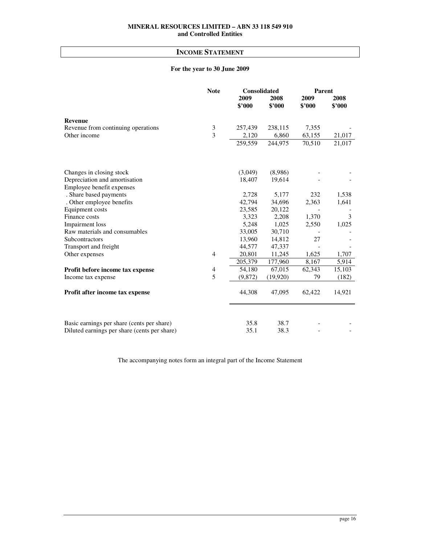# **INCOME STATEMENT**

# **For the year to 30 June 2009**

|                                              | <b>Note</b>    | Consolidated         |                | Parent         |                |
|----------------------------------------------|----------------|----------------------|----------------|----------------|----------------|
|                                              |                | 2009<br>\$'000       | 2008<br>\$'000 | 2009<br>\$'000 | 2008<br>\$'000 |
| <b>Revenue</b>                               |                |                      |                |                |                |
| Revenue from continuing operations           | 3              | 257,439              | 238,115        | 7,355          |                |
| Other income                                 | $\overline{3}$ | 2,120                | 6,860          | 63,155         | 21,017         |
|                                              |                | $\overline{259,559}$ | 244,975        | 70,510         | 21,017         |
| Changes in closing stock                     |                | (3,049)              | (8,986)        |                |                |
| Depreciation and amortisation                |                | 18,407               | 19,614         |                |                |
| Employee benefit expenses                    |                |                      |                |                |                |
| . Share based payments                       |                | 2,728                | 5,177          | 232            | 1,538          |
| . Other employee benefits                    |                | 42,794               | 34,696         | 2,363          | 1,641          |
| Equipment costs                              |                | 23,585               | 20,122         |                |                |
| Finance costs                                |                | 3,323                | 2,208          | 1,370          | 3              |
| <b>Impairment</b> loss                       |                | 5,248                | 1,025          | 2,550          | 1,025          |
| Raw materials and consumables                |                | 33,005               | 30,710         |                |                |
| Subcontractors                               |                | 13,960               | 14,812         | 27             |                |
| Transport and freight                        |                | 44,577               | 47,337         |                |                |
| Other expenses                               | 4              | 20,801               | 11,245         | 1,625          | 1,707          |
|                                              |                | 205,379              | 177,960        | 8,167          | 5,914          |
| Profit before income tax expense             | 4              | 54.180               | 67,015         | 62,343         | 15,103         |
| Income tax expense                           | 5              | (9,872)              | (19,920)       | 79             | (182)          |
| Profit after income tax expense              |                | 44,308               | 47,095         | 62,422         | 14,921         |
| Basic earnings per share (cents per share)   |                | 35.8                 | 38.7           |                |                |
| Diluted earnings per share (cents per share) |                | 35.1                 | 38.3           |                |                |
|                                              |                |                      |                |                |                |

The accompanying notes form an integral part of the Income Statement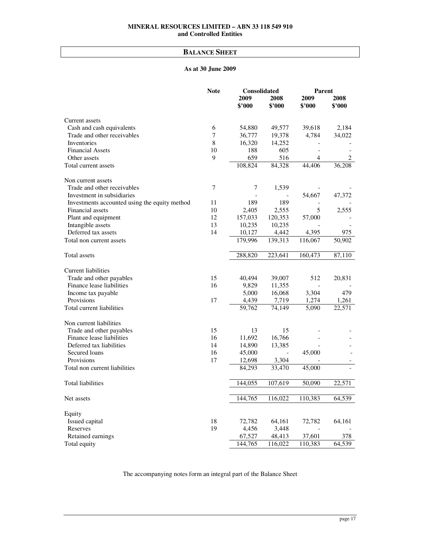# **BALANCE SHEET**

# **As at 30 June 2009**

|                                               | <b>Note</b>    | Consolidated |         | Parent                   |                |
|-----------------------------------------------|----------------|--------------|---------|--------------------------|----------------|
|                                               |                | 2009         | 2008    | 2009                     | 2008           |
|                                               |                | \$'000       | \$'000  | \$3000                   | \$3000         |
| Current assets                                |                |              |         |                          |                |
| Cash and cash equivalents                     | 6              | 54,880       | 49,577  | 39,618                   | 2,184          |
| Trade and other receivables                   | $\overline{7}$ | 36,777       | 19,378  | 4,784                    | 34,022         |
| Inventories                                   | 8              | 16,320       | 14,252  |                          |                |
| <b>Financial Assets</b>                       | 10             | 188          | 605     | $\overline{\phantom{0}}$ |                |
| Other assets                                  | 9              | 659          | 516     | $\overline{4}$           | $\overline{2}$ |
| Total current assets                          |                | 108,824      | 84,328  | 44,406                   | 36,208         |
| Non current assets                            |                |              |         |                          |                |
| Trade and other receivables                   | $\overline{7}$ | 7            | 1,539   |                          |                |
| Investment in subsidiaries                    |                |              |         | 54,667                   | 47,372         |
| Investments accounted using the equity method | 11             | 189          | 189     |                          |                |
| Financial assets                              | 10             | 2,405        | 2,555   | 5                        | 2,555          |
| Plant and equipment                           | 12             | 157,033      | 120,353 | 57,000                   |                |
| Intangible assets                             | 13             | 10,235       | 10,235  |                          |                |
| Deferred tax assets                           | 14             | 10,127       | 4,442   | 4,395                    | 975            |
| Total non current assets                      |                | 179,996      | 139,313 | 116,067                  | 50,902         |
| Total assets                                  |                | 288,820      | 223,641 | 160,473                  | 87,110         |
| <b>Current liabilities</b>                    |                |              |         |                          |                |
| Trade and other payables                      | 15             | 40,494       | 39,007  | 512                      | 20,831         |
| Finance lease liabilities                     | 16             | 9,829        | 11,355  |                          |                |
| Income tax payable                            |                | 5,000        | 16,068  | 3,304                    | 479            |
| Provisions                                    | 17             | 4,439        | 7,719   | 1,274                    | 1,261          |
| Total current liabilities                     |                | 59,762       | 74,149  | 5,090                    | 22,571         |
| Non current liabilities                       |                |              |         |                          |                |
| Trade and other payables                      | 15             | 13           | 15      |                          |                |
| Finance lease liabilities                     | 16             | 11,692       | 16,766  |                          |                |
| Deferred tax liabilities                      | 14             | 14,890       | 13,385  |                          |                |
| Secured loans                                 | 16             | 45,000       |         | 45,000                   |                |
| Provisions                                    | 17             | 12,698       | 3,304   |                          |                |
| Total non current liabilities                 |                | 84,293       | 33,470  | 45,000                   |                |
| <b>Total liabilities</b>                      |                | 144,055      | 107,619 | 50,090                   | 22,571         |
| Net assets                                    |                | 144,765      | 116,022 | 110,383                  | 64,539         |
| Equity                                        |                |              |         |                          |                |
| Issued capital                                | 18             | 72,782       | 64,161  | 72,782                   | 64,161         |
| Reserves                                      | 19             | 4,456        | 3,448   |                          |                |
| Retained earnings                             |                | 67,527       | 48,413  | 37,601                   | 378            |
| Total equity                                  |                | 144,765      | 116,022 | 110,383                  | 64,539         |

The accompanying notes form an integral part of the Balance Sheet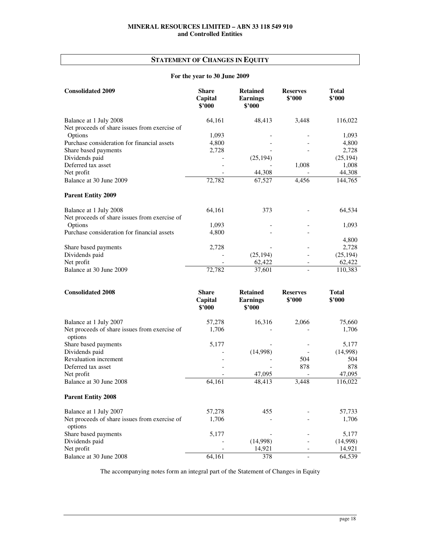# **STATEMENT OF CHANGES IN EQUITY**

# **For the year to 30 June 2009**

| <b>Consolidated 2009</b>                      | <b>Share</b><br>Capital<br>\$'000 | <b>Retained</b><br><b>Earnings</b><br>\$2000 | <b>Reserves</b><br>\$2000 | <b>Total</b><br>\$'000 |
|-----------------------------------------------|-----------------------------------|----------------------------------------------|---------------------------|------------------------|
| Balance at 1 July 2008                        | 64,161                            | 48,413                                       | 3,448                     | 116,022                |
| Net proceeds of share issues from exercise of |                                   |                                              |                           |                        |
| Options                                       | 1,093                             |                                              |                           | 1,093                  |
| Purchase consideration for financial assets   | 4,800                             |                                              |                           | 4,800                  |
| Share based payments                          | 2,728                             |                                              |                           | 2,728                  |
| Dividends paid                                |                                   | (25, 194)                                    |                           | (25, 194)              |
| Deferred tax asset                            |                                   |                                              | 1,008                     | 1,008                  |
| Net profit                                    |                                   | 44,308                                       |                           | 44,308                 |
| Balance at 30 June 2009                       | 72,782                            | 67,527                                       | 4,456                     | 144,765                |
| <b>Parent Entity 2009</b>                     |                                   |                                              |                           |                        |
| Balance at 1 July 2008                        | 64,161                            | 373                                          |                           | 64,534                 |
| Net proceeds of share issues from exercise of |                                   |                                              |                           |                        |
| Options                                       | 1,093                             |                                              |                           | 1,093                  |
| Purchase consideration for financial assets   | 4,800                             |                                              |                           |                        |
|                                               |                                   |                                              |                           | 4,800                  |
| Share based payments                          | 2,728                             |                                              |                           | 2,728                  |
| Dividends paid                                |                                   | (25, 194)                                    |                           | (25, 194)              |
| Net profit                                    |                                   | 62,422                                       |                           | 62,422                 |
| Balance at 30 June 2009                       | 72,782                            | 37,601                                       |                           | 110,383                |

| <b>Consolidated 2008</b>                                 | <b>Share</b><br>Capital<br>\$2000 | <b>Retained</b><br><b>Earnings</b><br>\$'000 | <b>Reserves</b><br>\$3000 | <b>Total</b><br>\$2000 |
|----------------------------------------------------------|-----------------------------------|----------------------------------------------|---------------------------|------------------------|
| Balance at 1 July 2007                                   | 57,278                            | 16,316                                       | 2,066                     | 75,660                 |
| Net proceeds of share issues from exercise of<br>options | 1,706                             |                                              |                           | 1,706                  |
| Share based payments                                     | 5,177                             |                                              |                           | 5,177                  |
| Dividends paid                                           |                                   | (14,998)                                     |                           | (14,998)               |
| <b>Revaluation increment</b>                             |                                   |                                              | 504                       | 504                    |
| Deferred tax asset                                       |                                   |                                              | 878                       | 878                    |
| Net profit                                               |                                   | 47,095                                       |                           | 47,095                 |
| Balance at 30 June 2008                                  | 64,161                            | 48,413                                       | 3,448                     | 116,022                |
| <b>Parent Entity 2008</b>                                |                                   |                                              |                           |                        |
| Balance at 1 July 2007                                   | 57,278                            | 455                                          |                           | 57,733                 |
| Net proceeds of share issues from exercise of<br>options | 1,706                             |                                              |                           | 1,706                  |
| Share based payments                                     | 5,177                             |                                              |                           | 5,177                  |
| Dividends paid                                           |                                   | (14,998)                                     |                           | (14,998)               |
| Net profit                                               |                                   | 14,921                                       |                           | 14,921                 |
| Balance at 30 June 2008                                  | 64,161                            | 378                                          |                           | 64,539                 |

The accompanying notes form an integral part of the Statement of Changes in Equity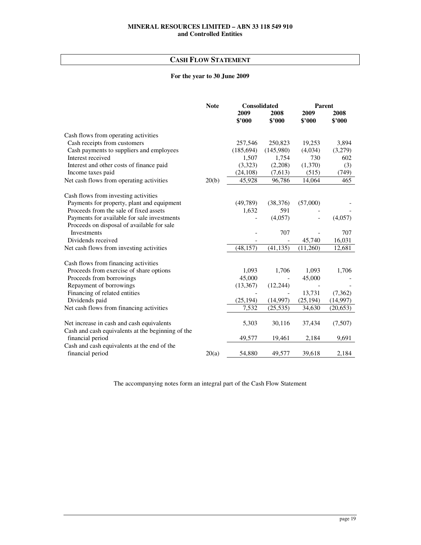# **CASH FLOW STATEMENT**

# **For the year to 30 June 2009**

|                                                                                                | <b>Note</b> | <b>Consolidated</b> |           | <b>Parent</b> |           |
|------------------------------------------------------------------------------------------------|-------------|---------------------|-----------|---------------|-----------|
|                                                                                                |             | 2009                | 2008      | 2009          | 2008      |
|                                                                                                |             | \$'000              | \$'000    | \$'000        | \$2000    |
| Cash flows from operating activities                                                           |             |                     |           |               |           |
| Cash receipts from customers                                                                   |             | 257,546             | 250,823   | 19,253        | 3,894     |
| Cash payments to suppliers and employees                                                       |             | (185, 694)          | (145,980) | (4,034)       | (3,279)   |
| Interest received                                                                              |             | 1,507               | 1,754     | 730           | 602       |
| Interest and other costs of finance paid                                                       |             | (3,323)             | (2,208)   | (1,370)       | (3)       |
| Income taxes paid                                                                              |             | (24, 108)           | (7,613)   | (515)         | (749)     |
| Net cash flows from operating activities                                                       | 20(b)       | 45,928              | 96,786    | 14,064        | 465       |
| Cash flows from investing activities                                                           |             |                     |           |               |           |
| Payments for property, plant and equipment                                                     |             | (49, 789)           | (38, 376) | (57,000)      |           |
| Proceeds from the sale of fixed assets                                                         |             | 1,632               | 591       |               |           |
| Payments for available for sale investments                                                    |             |                     | (4,057)   |               | (4,057)   |
| Proceeds on disposal of available for sale                                                     |             |                     |           |               |           |
| <b>Investments</b>                                                                             |             |                     | 707       |               | 707       |
| Dividends received                                                                             |             |                     |           | 45,740        | 16,031    |
| Net cash flows from investing activities                                                       |             | (48, 157)           | (41, 135) | (11,260)      | 12,681    |
| Cash flows from financing activities                                                           |             |                     |           |               |           |
| Proceeds from exercise of share options                                                        |             | 1,093               | 1,706     | 1,093         | 1,706     |
| Proceeds from borrowings                                                                       |             | 45,000              |           | 45,000        |           |
| Repayment of borrowings                                                                        |             | (13, 367)           | (12, 244) |               |           |
| Financing of related entities                                                                  |             |                     |           | 13,731        | (7, 362)  |
| Dividends paid                                                                                 |             | (25, 194)           | (14, 997) | (25, 194)     | (14,997)  |
| Net cash flows from financing activities                                                       |             | 7,532               | (25, 535) | 34,630        | (20, 653) |
| Net increase in cash and cash equivalents<br>Cash and cash equivalents at the beginning of the |             | 5,303               | 30,116    | 37,434        | (7,507)   |
| financial period                                                                               |             | 49,577              | 19,461    | 2,184         | 9,691     |
| Cash and cash equivalents at the end of the                                                    |             |                     |           |               |           |
| financial period                                                                               | 20(a)       | 54,880              | 49,577    | 39,618        | 2,184     |

The accompanying notes form an integral part of the Cash Flow Statement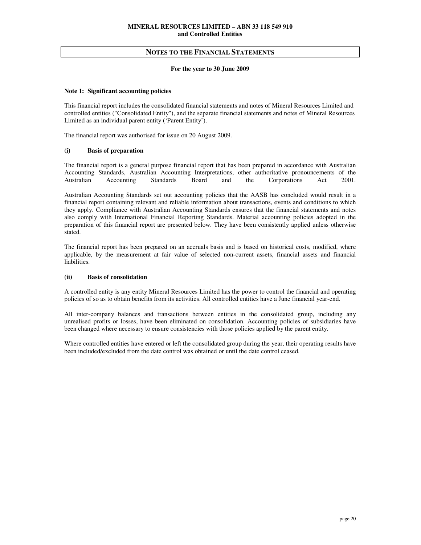#### **For the year to 30 June 2009**

## **Note 1: Significant accounting policies**

This financial report includes the consolidated financial statements and notes of Mineral Resources Limited and controlled entities ("Consolidated Entity"), and the separate financial statements and notes of Mineral Resources Limited as an individual parent entity ('Parent Entity').

The financial report was authorised for issue on 20 August 2009.

## **(i) Basis of preparation**

The financial report is a general purpose financial report that has been prepared in accordance with Australian Accounting Standards, Australian Accounting Interpretations, other authoritative pronouncements of the Australian Accounting Standards Board and the Corporations Act 2001.

Australian Accounting Standards set out accounting policies that the AASB has concluded would result in a financial report containing relevant and reliable information about transactions, events and conditions to which they apply. Compliance with Australian Accounting Standards ensures that the financial statements and notes also comply with International Financial Reporting Standards. Material accounting policies adopted in the preparation of this financial report are presented below. They have been consistently applied unless otherwise stated.

The financial report has been prepared on an accruals basis and is based on historical costs, modified, where applicable, by the measurement at fair value of selected non-current assets, financial assets and financial liabilities.

## **(ii) Basis of consolidation**

A controlled entity is any entity Mineral Resources Limited has the power to control the financial and operating policies of so as to obtain benefits from its activities. All controlled entities have a June financial year-end.

All inter-company balances and transactions between entities in the consolidated group, including any unrealised profits or losses, have been eliminated on consolidation. Accounting policies of subsidiaries have been changed where necessary to ensure consistencies with those policies applied by the parent entity.

Where controlled entities have entered or left the consolidated group during the year, their operating results have been included/excluded from the date control was obtained or until the date control ceased.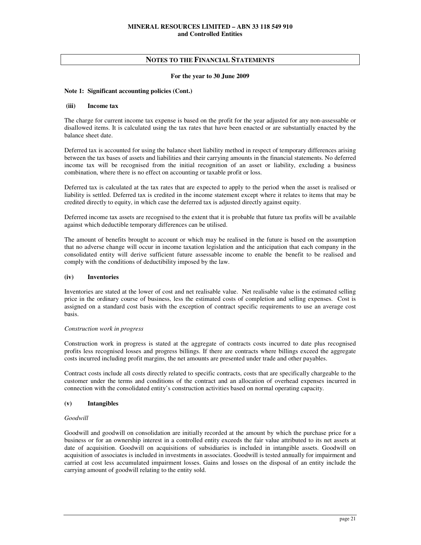## **For the year to 30 June 2009**

## **Note 1: Significant accounting policies (Cont.)**

## **(iii) Income tax**

The charge for current income tax expense is based on the profit for the year adjusted for any non-assessable or disallowed items. It is calculated using the tax rates that have been enacted or are substantially enacted by the balance sheet date.

Deferred tax is accounted for using the balance sheet liability method in respect of temporary differences arising between the tax bases of assets and liabilities and their carrying amounts in the financial statements. No deferred income tax will be recognised from the initial recognition of an asset or liability, excluding a business combination, where there is no effect on accounting or taxable profit or loss.

Deferred tax is calculated at the tax rates that are expected to apply to the period when the asset is realised or liability is settled. Deferred tax is credited in the income statement except where it relates to items that may be credited directly to equity, in which case the deferred tax is adjusted directly against equity.

Deferred income tax assets are recognised to the extent that it is probable that future tax profits will be available against which deductible temporary differences can be utilised.

The amount of benefits brought to account or which may be realised in the future is based on the assumption that no adverse change will occur in income taxation legislation and the anticipation that each company in the consolidated entity will derive sufficient future assessable income to enable the benefit to be realised and comply with the conditions of deductibility imposed by the law.

## **(iv) Inventories**

Inventories are stated at the lower of cost and net realisable value. Net realisable value is the estimated selling price in the ordinary course of business, less the estimated costs of completion and selling expenses. Cost is assigned on a standard cost basis with the exception of contract specific requirements to use an average cost basis.

#### *Construction work in progress*

Construction work in progress is stated at the aggregate of contracts costs incurred to date plus recognised profits less recognised losses and progress billings. If there are contracts where billings exceed the aggregate costs incurred including profit margins, the net amounts are presented under trade and other payables.

Contract costs include all costs directly related to specific contracts, costs that are specifically chargeable to the customer under the terms and conditions of the contract and an allocation of overhead expenses incurred in connection with the consolidated entity's construction activities based on normal operating capacity.

## **(v) Intangibles**

## *Goodwill*

Goodwill and goodwill on consolidation are initially recorded at the amount by which the purchase price for a business or for an ownership interest in a controlled entity exceeds the fair value attributed to its net assets at date of acquisition. Goodwill on acquisitions of subsidiaries is included in intangible assets. Goodwill on acquisition of associates is included in investments in associates. Goodwill is tested annually for impairment and carried at cost less accumulated impairment losses. Gains and losses on the disposal of an entity include the carrying amount of goodwill relating to the entity sold.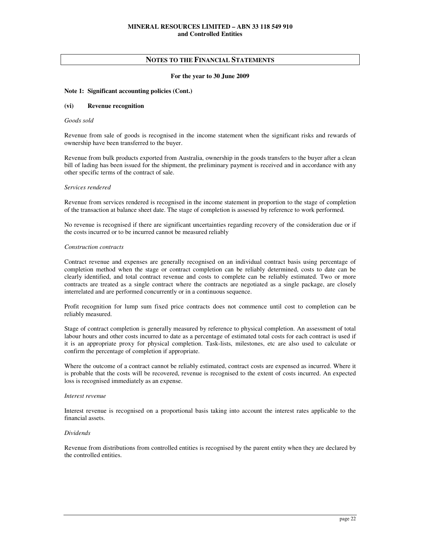## **For the year to 30 June 2009**

## **Note 1: Significant accounting policies (Cont.)**

## **(vi) Revenue recognition**

## *Goods sold*

Revenue from sale of goods is recognised in the income statement when the significant risks and rewards of ownership have been transferred to the buyer.

Revenue from bulk products exported from Australia, ownership in the goods transfers to the buyer after a clean bill of lading has been issued for the shipment, the preliminary payment is received and in accordance with any other specific terms of the contract of sale.

#### *Services rendered*

Revenue from services rendered is recognised in the income statement in proportion to the stage of completion of the transaction at balance sheet date. The stage of completion is assessed by reference to work performed.

No revenue is recognised if there are significant uncertainties regarding recovery of the consideration due or if the costs incurred or to be incurred cannot be measured reliably

## *Construction contracts*

Contract revenue and expenses are generally recognised on an individual contract basis using percentage of completion method when the stage or contract completion can be reliably determined, costs to date can be clearly identified, and total contract revenue and costs to complete can be reliably estimated. Two or more contracts are treated as a single contract where the contracts are negotiated as a single package, are closely interrelated and are performed concurrently or in a continuous sequence.

Profit recognition for lump sum fixed price contracts does not commence until cost to completion can be reliably measured.

Stage of contract completion is generally measured by reference to physical completion. An assessment of total labour hours and other costs incurred to date as a percentage of estimated total costs for each contract is used if it is an appropriate proxy for physical completion. Task-lists, milestones, etc are also used to calculate or confirm the percentage of completion if appropriate.

Where the outcome of a contract cannot be reliably estimated, contract costs are expensed as incurred. Where it is probable that the costs will be recovered, revenue is recognised to the extent of costs incurred. An expected loss is recognised immediately as an expense.

#### *Interest revenue*

Interest revenue is recognised on a proportional basis taking into account the interest rates applicable to the financial assets.

## *Dividends*

Revenue from distributions from controlled entities is recognised by the parent entity when they are declared by the controlled entities.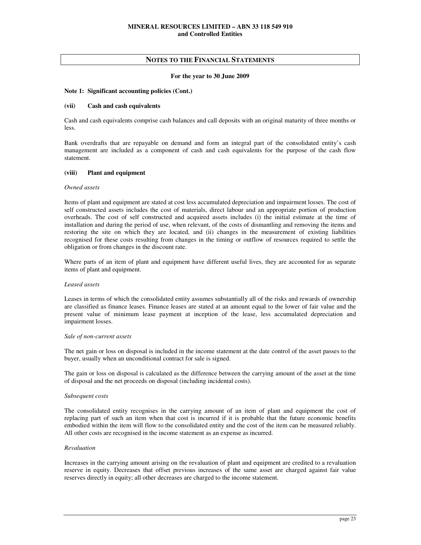#### **For the year to 30 June 2009**

#### **Note 1: Significant accounting policies (Cont.)**

#### **(vii) Cash and cash equivalents**

Cash and cash equivalents comprise cash balances and call deposits with an original maturity of three months or less.

Bank overdrafts that are repayable on demand and form an integral part of the consolidated entity's cash management are included as a component of cash and cash equivalents for the purpose of the cash flow statement.

#### **(viii) Plant and equipment**

#### *Owned assets*

Items of plant and equipment are stated at cost less accumulated depreciation and impairment losses. The cost of self constructed assets includes the cost of materials, direct labour and an appropriate portion of production overheads. The cost of self constructed and acquired assets includes (i) the initial estimate at the time of installation and during the period of use, when relevant, of the costs of dismantling and removing the items and restoring the site on which they are located, and (ii) changes in the measurement of existing liabilities recognised for these costs resulting from changes in the timing or outflow of resources required to settle the obligation or from changes in the discount rate.

Where parts of an item of plant and equipment have different useful lives, they are accounted for as separate items of plant and equipment.

## *Leased assets*

Leases in terms of which the consolidated entity assumes substantially all of the risks and rewards of ownership are classified as finance leases. Finance leases are stated at an amount equal to the lower of fair value and the present value of minimum lease payment at inception of the lease, less accumulated depreciation and impairment losses.

#### *Sale of non-current assets*

The net gain or loss on disposal is included in the income statement at the date control of the asset passes to the buyer, usually when an unconditional contract for sale is signed.

The gain or loss on disposal is calculated as the difference between the carrying amount of the asset at the time of disposal and the net proceeds on disposal (including incidental costs).

#### *Subsequent costs*

The consolidated entity recognises in the carrying amount of an item of plant and equipment the cost of replacing part of such an item when that cost is incurred if it is probable that the future economic benefits embodied within the item will flow to the consolidated entity and the cost of the item can be measured reliably. All other costs are recognised in the income statement as an expense as incurred.

#### *Revaluation*

Increases in the carrying amount arising on the revaluation of plant and equipment are credited to a revaluation reserve in equity. Decreases that offset previous increases of the same asset are charged against fair value reserves directly in equity; all other decreases are charged to the income statement.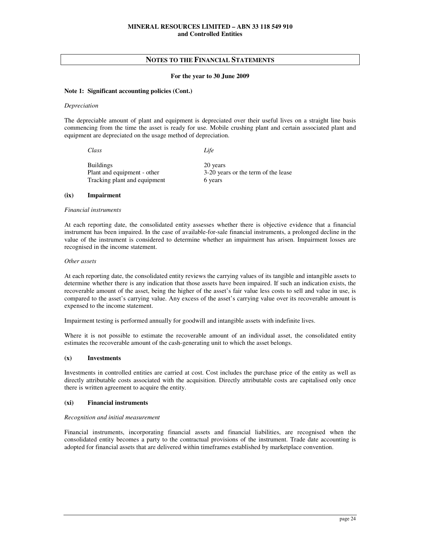#### **For the year to 30 June 2009**

#### **Note 1: Significant accounting policies (Cont.)**

#### *Depreciation*

The depreciable amount of plant and equipment is depreciated over their useful lives on a straight line basis commencing from the time the asset is ready for use. Mobile crushing plant and certain associated plant and equipment are depreciated on the usage method of depreciation.

| Class                        | Life                                |
|------------------------------|-------------------------------------|
| <b>Buildings</b>             | 20 years                            |
| Plant and equipment - other  | 3-20 years or the term of the lease |
| Tracking plant and equipment | 6 years                             |

## **(ix) Impairment**

#### *Financial instruments*

At each reporting date, the consolidated entity assesses whether there is objective evidence that a financial instrument has been impaired. In the case of available-for-sale financial instruments, a prolonged decline in the value of the instrument is considered to determine whether an impairment has arisen. Impairment losses are recognised in the income statement.

#### *Other assets*

At each reporting date, the consolidated entity reviews the carrying values of its tangible and intangible assets to determine whether there is any indication that those assets have been impaired. If such an indication exists, the recoverable amount of the asset, being the higher of the asset's fair value less costs to sell and value in use, is compared to the asset's carrying value. Any excess of the asset's carrying value over its recoverable amount is expensed to the income statement.

Impairment testing is performed annually for goodwill and intangible assets with indefinite lives.

Where it is not possible to estimate the recoverable amount of an individual asset, the consolidated entity estimates the recoverable amount of the cash-generating unit to which the asset belongs.

#### **(x) Investments**

Investments in controlled entities are carried at cost. Cost includes the purchase price of the entity as well as directly attributable costs associated with the acquisition. Directly attributable costs are capitalised only once there is written agreement to acquire the entity.

#### **(xi) Financial instruments**

#### *Recognition and initial measurement*

Financial instruments, incorporating financial assets and financial liabilities, are recognised when the consolidated entity becomes a party to the contractual provisions of the instrument. Trade date accounting is adopted for financial assets that are delivered within timeframes established by marketplace convention.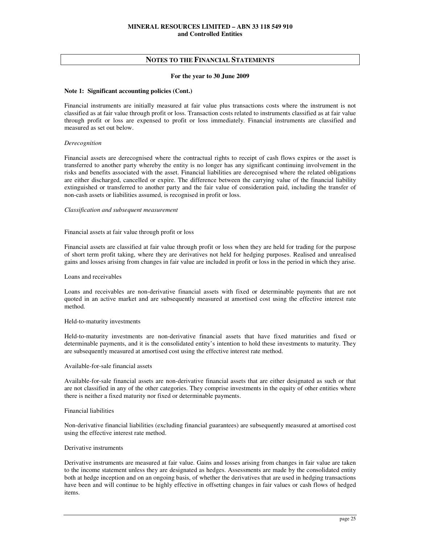#### **For the year to 30 June 2009**

## **Note 1: Significant accounting policies (Cont.)**

Financial instruments are initially measured at fair value plus transactions costs where the instrument is not classified as at fair value through profit or loss. Transaction costs related to instruments classified as at fair value through profit or loss are expensed to profit or loss immediately. Financial instruments are classified and measured as set out below.

## *Derecognition*

Financial assets are derecognised where the contractual rights to receipt of cash flows expires or the asset is transferred to another party whereby the entity is no longer has any significant continuing involvement in the risks and benefits associated with the asset. Financial liabilities are derecognised where the related obligations are either discharged, cancelled or expire. The difference between the carrying value of the financial liability extinguished or transferred to another party and the fair value of consideration paid, including the transfer of non-cash assets or liabilities assumed, is recognised in profit or loss.

#### *Classification and subsequent measurement*

## Financial assets at fair value through profit or loss

Financial assets are classified at fair value through profit or loss when they are held for trading for the purpose of short term profit taking, where they are derivatives not held for hedging purposes. Realised and unrealised gains and losses arising from changes in fair value are included in profit or loss in the period in which they arise.

## Loans and receivables

Loans and receivables are non-derivative financial assets with fixed or determinable payments that are not quoted in an active market and are subsequently measured at amortised cost using the effective interest rate method.

#### Held-to-maturity investments

Held-to-maturity investments are non-derivative financial assets that have fixed maturities and fixed or determinable payments, and it is the consolidated entity's intention to hold these investments to maturity. They are subsequently measured at amortised cost using the effective interest rate method.

## Available-for-sale financial assets

Available-for-sale financial assets are non-derivative financial assets that are either designated as such or that are not classified in any of the other categories. They comprise investments in the equity of other entities where there is neither a fixed maturity nor fixed or determinable payments.

#### Financial liabilities

Non-derivative financial liabilities (excluding financial guarantees) are subsequently measured at amortised cost using the effective interest rate method.

#### Derivative instruments

Derivative instruments are measured at fair value. Gains and losses arising from changes in fair value are taken to the income statement unless they are designated as hedges. Assessments are made by the consolidated entity both at hedge inception and on an ongoing basis, of whether the derivatives that are used in hedging transactions have been and will continue to be highly effective in offsetting changes in fair values or cash flows of hedged items.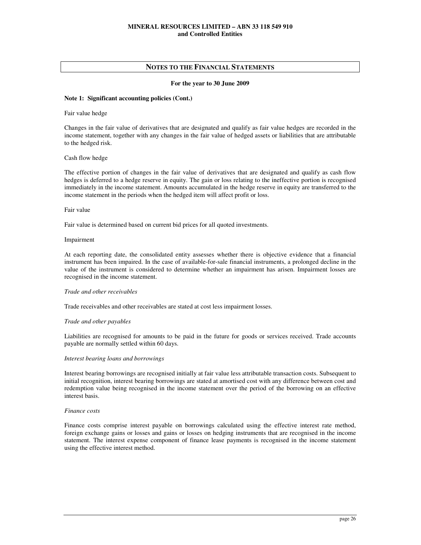## **For the year to 30 June 2009**

## **Note 1: Significant accounting policies (Cont.)**

Fair value hedge

Changes in the fair value of derivatives that are designated and qualify as fair value hedges are recorded in the income statement, together with any changes in the fair value of hedged assets or liabilities that are attributable to the hedged risk.

## Cash flow hedge

The effective portion of changes in the fair value of derivatives that are designated and qualify as cash flow hedges is deferred to a hedge reserve in equity. The gain or loss relating to the ineffective portion is recognised immediately in the income statement. Amounts accumulated in the hedge reserve in equity are transferred to the income statement in the periods when the hedged item will affect profit or loss.

#### Fair value

Fair value is determined based on current bid prices for all quoted investments.

## Impairment

At each reporting date, the consolidated entity assesses whether there is objective evidence that a financial instrument has been impaired. In the case of available-for-sale financial instruments, a prolonged decline in the value of the instrument is considered to determine whether an impairment has arisen. Impairment losses are recognised in the income statement.

## *Trade and other receivables*

Trade receivables and other receivables are stated at cost less impairment losses.

#### *Trade and other payables*

Liabilities are recognised for amounts to be paid in the future for goods or services received. Trade accounts payable are normally settled within 60 days.

## *Interest bearing loans and borrowings*

Interest bearing borrowings are recognised initially at fair value less attributable transaction costs. Subsequent to initial recognition, interest bearing borrowings are stated at amortised cost with any difference between cost and redemption value being recognised in the income statement over the period of the borrowing on an effective interest basis.

#### *Finance costs*

Finance costs comprise interest payable on borrowings calculated using the effective interest rate method, foreign exchange gains or losses and gains or losses on hedging instruments that are recognised in the income statement. The interest expense component of finance lease payments is recognised in the income statement using the effective interest method.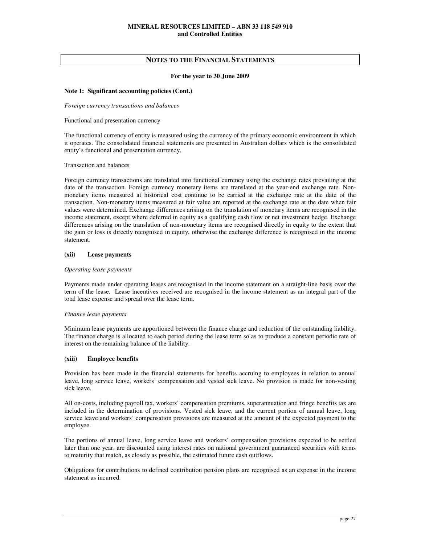#### **For the year to 30 June 2009**

## **Note 1: Significant accounting policies (Cont.)**

*Foreign currency transactions and balances* 

Functional and presentation currency

The functional currency of entity is measured using the currency of the primary economic environment in which it operates. The consolidated financial statements are presented in Australian dollars which is the consolidated entity's functional and presentation currency.

#### Transaction and balances

Foreign currency transactions are translated into functional currency using the exchange rates prevailing at the date of the transaction. Foreign currency monetary items are translated at the year-end exchange rate. Nonmonetary items measured at historical cost continue to be carried at the exchange rate at the date of the transaction. Non-monetary items measured at fair value are reported at the exchange rate at the date when fair values were determined. Exchange differences arising on the translation of monetary items are recognised in the income statement, except where deferred in equity as a qualifying cash flow or net investment hedge. Exchange differences arising on the translation of non-monetary items are recognised directly in equity to the extent that the gain or loss is directly recognised in equity, otherwise the exchange difference is recognised in the income statement.

## **(xii) Lease payments**

## *Operating lease payments*

Payments made under operating leases are recognised in the income statement on a straight-line basis over the term of the lease. Lease incentives received are recognised in the income statement as an integral part of the total lease expense and spread over the lease term.

#### *Finance lease payments*

Minimum lease payments are apportioned between the finance charge and reduction of the outstanding liability. The finance charge is allocated to each period during the lease term so as to produce a constant periodic rate of interest on the remaining balance of the liability.

## **(xiii) Employee benefits**

Provision has been made in the financial statements for benefits accruing to employees in relation to annual leave, long service leave, workers' compensation and vested sick leave. No provision is made for non-vesting sick leave.

All on-costs, including payroll tax, workers' compensation premiums, superannuation and fringe benefits tax are included in the determination of provisions. Vested sick leave, and the current portion of annual leave, long service leave and workers' compensation provisions are measured at the amount of the expected payment to the employee.

The portions of annual leave, long service leave and workers' compensation provisions expected to be settled later than one year, are discounted using interest rates on national government guaranteed securities with terms to maturity that match, as closely as possible, the estimated future cash outflows.

Obligations for contributions to defined contribution pension plans are recognised as an expense in the income statement as incurred.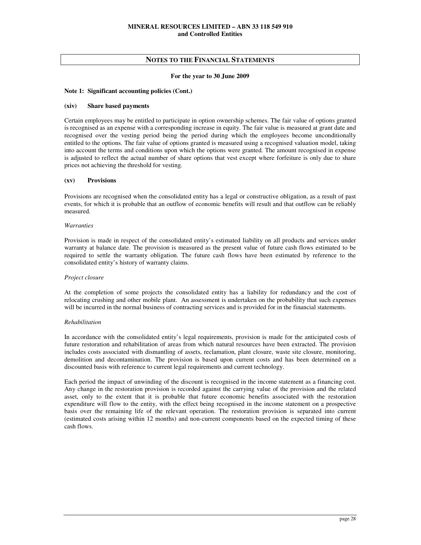#### **For the year to 30 June 2009**

#### **Note 1: Significant accounting policies (Cont.)**

## **(xiv) Share based payments**

Certain employees may be entitled to participate in option ownership schemes. The fair value of options granted is recognised as an expense with a corresponding increase in equity. The fair value is measured at grant date and recognised over the vesting period being the period during which the employees become unconditionally entitled to the options. The fair value of options granted is measured using a recognised valuation model, taking into account the terms and conditions upon which the options were granted. The amount recognised in expense is adjusted to reflect the actual number of share options that vest except where forfeiture is only due to share prices not achieving the threshold for vesting.

## **(xv) Provisions**

Provisions are recognised when the consolidated entity has a legal or constructive obligation, as a result of past events, for which it is probable that an outflow of economic benefits will result and that outflow can be reliably measured.

#### *Warranties*

Provision is made in respect of the consolidated entity's estimated liability on all products and services under warranty at balance date. The provision is measured as the present value of future cash flows estimated to be required to settle the warranty obligation. The future cash flows have been estimated by reference to the consolidated entity's history of warranty claims.

#### *Project closure*

At the completion of some projects the consolidated entity has a liability for redundancy and the cost of relocating crushing and other mobile plant. An assessment is undertaken on the probability that such expenses will be incurred in the normal business of contracting services and is provided for in the financial statements.

#### *Rehabilitation*

In accordance with the consolidated entity's legal requirements, provision is made for the anticipated costs of future restoration and rehabilitation of areas from which natural resources have been extracted. The provision includes costs associated with dismantling of assets, reclamation, plant closure, waste site closure, monitoring, demolition and decontamination. The provision is based upon current costs and has been determined on a discounted basis with reference to current legal requirements and current technology.

Each period the impact of unwinding of the discount is recognised in the income statement as a financing cost. Any change in the restoration provision is recorded against the carrying value of the provision and the related asset, only to the extent that it is probable that future economic benefits associated with the restoration expenditure will flow to the entity, with the effect being recognised in the income statement on a prospective basis over the remaining life of the relevant operation. The restoration provision is separated into current (estimated costs arising within 12 months) and non-current components based on the expected timing of these cash flows.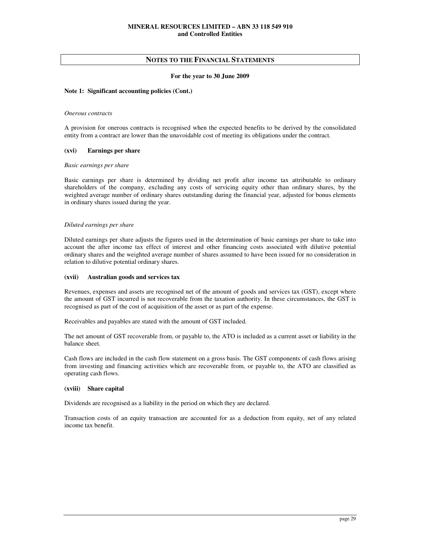## **For the year to 30 June 2009**

## **Note 1: Significant accounting policies (Cont.)**

#### *Onerous contracts*

A provision for onerous contracts is recognised when the expected benefits to be derived by the consolidated entity from a contract are lower than the unavoidable cost of meeting its obligations under the contract.

#### **(xvi) Earnings per share**

#### *Basic earnings per share*

Basic earnings per share is determined by dividing net profit after income tax attributable to ordinary shareholders of the company, excluding any costs of servicing equity other than ordinary shares, by the weighted average number of ordinary shares outstanding during the financial year, adjusted for bonus elements in ordinary shares issued during the year.

## *Diluted earnings per share*

Diluted earnings per share adjusts the figures used in the determination of basic earnings per share to take into account the after income tax effect of interest and other financing costs associated with dilutive potential ordinary shares and the weighted average number of shares assumed to have been issued for no consideration in relation to dilutive potential ordinary shares.

#### **(xvii) Australian goods and services tax**

Revenues, expenses and assets are recognised net of the amount of goods and services tax (GST), except where the amount of GST incurred is not recoverable from the taxation authority. In these circumstances, the GST is recognised as part of the cost of acquisition of the asset or as part of the expense.

Receivables and payables are stated with the amount of GST included.

The net amount of GST recoverable from, or payable to, the ATO is included as a current asset or liability in the balance sheet.

Cash flows are included in the cash flow statement on a gross basis. The GST components of cash flows arising from investing and financing activities which are recoverable from, or payable to, the ATO are classified as operating cash flows.

#### **(xviii) Share capital**

Dividends are recognised as a liability in the period on which they are declared.

Transaction costs of an equity transaction are accounted for as a deduction from equity, net of any related income tax benefit.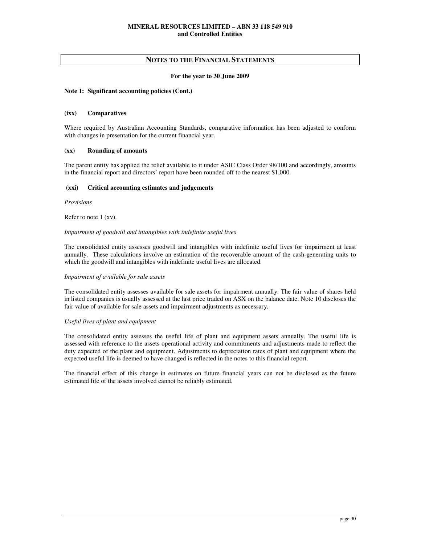## **For the year to 30 June 2009**

## **Note 1: Significant accounting policies (Cont.)**

## **(ixx) Comparatives**

Where required by Australian Accounting Standards, comparative information has been adjusted to conform with changes in presentation for the current financial year.

## **(xx) Rounding of amounts**

The parent entity has applied the relief available to it under ASIC Class Order 98/100 and accordingly, amounts in the financial report and directors' report have been rounded off to the nearest \$1,000.

## **(xxi) Critical accounting estimates and judgements**

*Provisions* 

Refer to note 1 (xv).

#### *Impairment of goodwill and intangibles with indefinite useful lives*

The consolidated entity assesses goodwill and intangibles with indefinite useful lives for impairment at least annually. These calculations involve an estimation of the recoverable amount of the cash-generating units to which the goodwill and intangibles with indefinite useful lives are allocated.

## *Impairment of available for sale assets*

The consolidated entity assesses available for sale assets for impairment annually. The fair value of shares held in listed companies is usually assessed at the last price traded on ASX on the balance date. Note 10 discloses the fair value of available for sale assets and impairment adjustments as necessary.

## *Useful lives of plant and equipment*

The consolidated entity assesses the useful life of plant and equipment assets annually. The useful life is assessed with reference to the assets operational activity and commitments and adjustments made to reflect the duty expected of the plant and equipment. Adjustments to depreciation rates of plant and equipment where the expected useful life is deemed to have changed is reflected in the notes to this financial report.

The financial effect of this change in estimates on future financial years can not be disclosed as the future estimated life of the assets involved cannot be reliably estimated.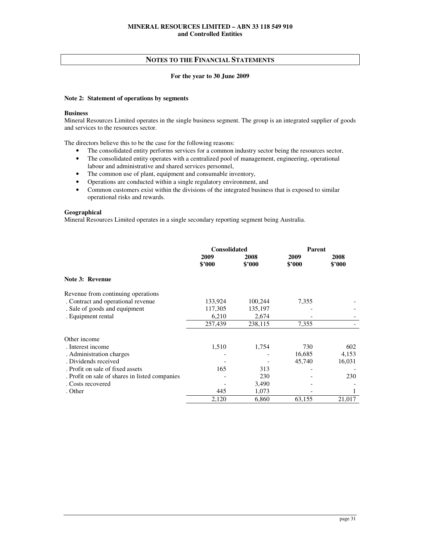## **For the year to 30 June 2009**

## **Note 2: Statement of operations by segments**

## **Business**

Mineral Resources Limited operates in the single business segment. The group is an integrated supplier of goods and services to the resources sector.

The directors believe this to be the case for the following reasons:

- The consolidated entity performs services for a common industry sector being the resources sector,
- The consolidated entity operates with a centralized pool of management, engineering, operational labour and administrative and shared services personnel,
- The common use of plant, equipment and consumable inventory,
- Operations are conducted within a single regulatory environment, and
- Common customers exist within the divisions of the integrated business that is exposed to similar operational risks and rewards.

## **Geographical**

Mineral Resources Limited operates in a single secondary reporting segment being Australia.

|                                                | <b>Consolidated</b> |                | <b>Parent</b>  |                |
|------------------------------------------------|---------------------|----------------|----------------|----------------|
|                                                | 2009<br>\$3000      | 2008<br>\$2000 | 2009<br>\$2000 | 2008<br>\$3000 |
| Note 3: Revenue                                |                     |                |                |                |
| Revenue from continuing operations             |                     |                |                |                |
| . Contract and operational revenue             | 133,924             | 100,244        | 7,355          |                |
| . Sale of goods and equipment                  | 117,305             | 135,197        |                |                |
| . Equipment rental                             | 6,210               | 2,674          |                |                |
|                                                | 257,439             | 238,115        | 7,355          |                |
| Other income                                   |                     |                |                |                |
| . Interest income                              | 1,510               | 1,754          | 730            | 602            |
| . Administration charges                       |                     |                | 16,685         | 4,153          |
| . Dividends received                           |                     |                | 45,740         | 16,031         |
| . Profit on sale of fixed assets               | 165                 | 313            |                |                |
| . Profit on sale of shares in listed companies |                     | 230            |                | 230            |
| . Costs recovered                              |                     | 3,490          |                |                |
| . Other                                        | 445                 | 1,073          |                |                |
|                                                | 2,120               | 6,860          | 63,155         | 21,017         |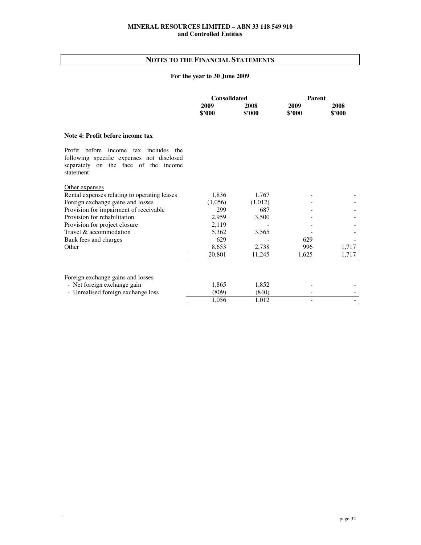# **NOTES TO THE FINANCIAL STATEMENTS**

# **For the year to 30 June 2009**

|                                                                                                                                                | <b>Consolidated</b> |                | <b>Parent</b>            |                |
|------------------------------------------------------------------------------------------------------------------------------------------------|---------------------|----------------|--------------------------|----------------|
|                                                                                                                                                | 2009<br>\$'000      | 2008<br>\$2000 | 2009<br>\$2000           | 2008<br>\$2000 |
| Note 4: Profit before income tax                                                                                                               |                     |                |                          |                |
| Profit before income<br>tax includes<br>the<br>following specific expenses not disclosed<br>separately on the face of the income<br>statement: |                     |                |                          |                |
| Other expenses                                                                                                                                 |                     |                |                          |                |
| Rental expenses relating to operating leases                                                                                                   | 1,836               | 1,767          |                          |                |
| Foreign exchange gains and losses                                                                                                              | (1,056)             | (1,012)        |                          |                |
| Provision for impairment of receivable                                                                                                         | 299                 | 687            |                          |                |
| Provision for rehabilitation                                                                                                                   | 2,959               | 3,500          |                          |                |
| Provision for project closure                                                                                                                  | 2,119               |                |                          |                |
| Travel & accommodation                                                                                                                         | 5,362               | 3,565          |                          |                |
| Bank fees and charges                                                                                                                          | 629                 |                | 629                      |                |
| Other                                                                                                                                          | 8,653               | 2,738          | 996                      | 1,717          |
|                                                                                                                                                | 20,801              | 11,245         | 1,625                    | 1,717          |
| Foreign exchange gains and losses                                                                                                              |                     |                |                          |                |
| - Net foreign exchange gain                                                                                                                    | 1,865               | 1.852          |                          |                |
| - Unrealised foreign exchange loss                                                                                                             | (809)               | (840)          |                          |                |
|                                                                                                                                                | 1,056               | 1,012          | $\overline{\phantom{0}}$ |                |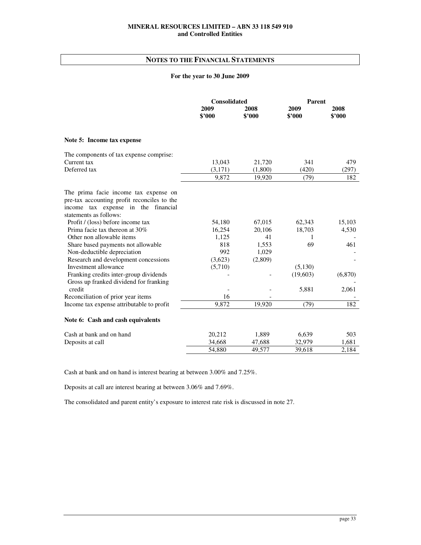# **NOTES TO THE FINANCIAL STATEMENTS**

## **For the year to 30 June 2009**

|                                             | <b>Consolidated</b> |                | Parent         |                |
|---------------------------------------------|---------------------|----------------|----------------|----------------|
|                                             | 2009<br>\$'000      | 2008<br>\$'000 | 2009<br>\$'000 | 2008<br>\$'000 |
| Note 5: Income tax expense                  |                     |                |                |                |
| The components of tax expense comprise:     |                     |                |                |                |
| Current tax                                 | 13,043              | 21,720         | 341            | 479            |
| Deferred tax                                | (3,171)             | (1,800)        | (420)          | (297)          |
|                                             | 9,872               | 19,920         | (79)           | 182            |
| The prima facie income tax expense on       |                     |                |                |                |
| pre-tax accounting profit reconciles to the |                     |                |                |                |
| income tax expense in the financial         |                     |                |                |                |
| statements as follows:                      |                     |                |                |                |
| Profit / (loss) before income tax           | 54,180              | 67,015         | 62,343         | 15,103         |
| Prima facie tax thereon at $30\%$           | 16,254              | 20,106         | 18,703         | 4,530          |
| Other non allowable items                   | 1,125               | 41             | 1              |                |
| Share based payments not allowable          | 818                 | 1,553          | 69             | 461            |
| Non-deductible depreciation                 | 992                 | 1,029          |                |                |
| Research and development concessions        | (3,623)             | (2,809)        |                |                |
| Investment allowance                        | (5,710)             |                | (5,130)        |                |
| Franking credits inter-group dividends      |                     |                | (19,603)       | (6,870)        |
| Gross up franked dividend for franking      |                     |                |                |                |
| credit                                      |                     |                | 5,881          | 2,061          |
| Reconciliation of prior year items          | 16                  |                |                |                |
| Income tax expense attributable to profit   | 9,872               | 19,920         | (79)           | 182            |
| Note 6: Cash and cash equivalents           |                     |                |                |                |
| Cash at bank and on hand                    | 20,212              | 1,889          | 6,639          | 503            |
| Deposits at call                            | 34,668              | 47,688         | 32,979         | 1,681          |
|                                             | 54,880              | 49,577         | 39,618         | 2,184          |

Cash at bank and on hand is interest bearing at between 3.00% and 7.25%.

Deposits at call are interest bearing at between 3.06% and 7.69%.

The consolidated and parent entity's exposure to interest rate risk is discussed in note 27.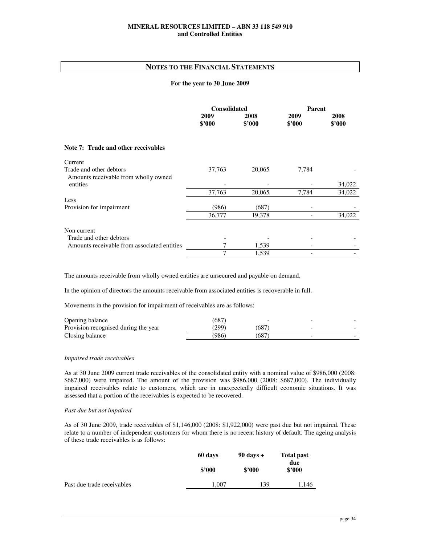## **NOTES TO THE FINANCIAL STATEMENTS**

## **For the year to 30 June 2009**

|                                                                 | <b>Consolidated</b> |                | <b>Parent</b>  |                |
|-----------------------------------------------------------------|---------------------|----------------|----------------|----------------|
|                                                                 | 2009<br>\$2000      | 2008<br>\$2000 | 2009<br>\$'000 | 2008<br>\$'000 |
| Note 7: Trade and other receivables                             |                     |                |                |                |
| Current                                                         |                     |                |                |                |
| Trade and other debtors<br>Amounts receivable from wholly owned | 37,763              | 20,065         | 7,784          |                |
| entities                                                        |                     |                |                | 34,022         |
|                                                                 | 37,763              | 20,065         | 7,784          | 34,022         |
| Less                                                            |                     |                |                |                |
| Provision for impairment                                        | (986)               | (687)          |                |                |
|                                                                 | 36,777              | 19,378         |                | 34,022         |
| Non current                                                     |                     |                |                |                |
| Trade and other debtors                                         |                     |                |                |                |
| Amounts receivable from associated entities                     |                     | 1,539          |                |                |
|                                                                 | 7                   | 1,539          |                |                |

The amounts receivable from wholly owned entities are unsecured and payable on demand.

In the opinion of directors the amounts receivable from associated entities is recoverable in full.

Movements in the provision for impairment of receivables are as follows:

| Opening balance                      | (687  |       |  |
|--------------------------------------|-------|-------|--|
| Provision recognised during the year | (299) | (687) |  |
| Closing balance                      | (986) | (687  |  |

## *Impaired trade receivables*

As at 30 June 2009 current trade receivables of the consolidated entity with a nominal value of \$986,000 (2008: \$687,000) were impaired. The amount of the provision was \$986,000 (2008: \$687,000). The individually impaired receivables relate to customers, which are in unexpectedly difficult economic situations. It was assessed that a portion of the receivables is expected to be recovered.

#### *Past due but not impaired*

As of 30 June 2009, trade receivables of \$1,146,000 (2008: \$1,922,000) were past due but not impaired. These relate to a number of independent customers for whom there is no recent history of default. The ageing analysis of these trade receivables is as follows:

|                            | 60 days | $90 \text{ days} +$ | Total past<br>due |  |
|----------------------------|---------|---------------------|-------------------|--|
|                            | \$2000  | \$2000              | \$2000            |  |
| Past due trade receivables | 1.007   | 139                 | 1,146             |  |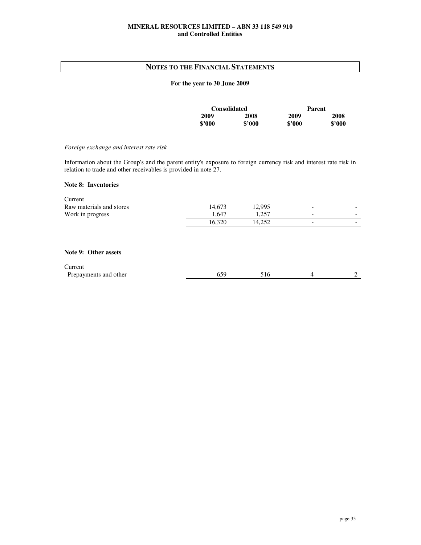# **NOTES TO THE FINANCIAL STATEMENTS**

## **For the year to 30 June 2009**

|        | <b>Consolidated</b> |        | Parent |
|--------|---------------------|--------|--------|
| 2009   | 2008                | 2009   | 2008   |
| \$2000 | \$2000              | \$2000 | \$2000 |

## *Foreign exchange and interest rate risk*

Information about the Group's and the parent entity's exposure to foreign currency risk and interest rate risk in relation to trade and other receivables is provided in note 27.

## **Note 8: Inventories**

| Current                  |        |        |                          |                          |
|--------------------------|--------|--------|--------------------------|--------------------------|
| Raw materials and stores | 14,673 | 12,995 | $\overline{\phantom{0}}$ |                          |
| Work in progress         | 1,647  | .257   | $\overline{\phantom{0}}$ | $\overline{\phantom{0}}$ |
|                          | 16.320 | 14.252 | $\overline{\phantom{a}}$ |                          |
|                          |        |        |                          |                          |
|                          |        |        |                          |                          |
|                          |        |        |                          |                          |

## **Note 9: Other assets**

| Current               |  |  |
|-----------------------|--|--|
| Prepayments and other |  |  |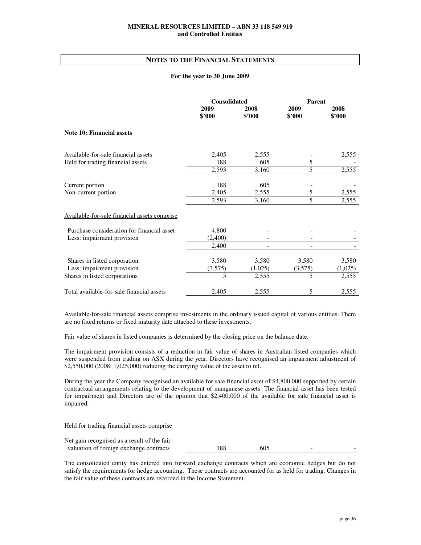## **NOTES TO THE FINANCIAL STATEMENTS**

#### **For the year to 30 June 2009**

|                                              | <b>Consolidated</b> |                | <b>Parent</b>  |                |
|----------------------------------------------|---------------------|----------------|----------------|----------------|
|                                              | 2009<br>\$'000      | 2008<br>\$'000 | 2009<br>\$'000 | 2008<br>\$'000 |
| <b>Note 10: Financial assets</b>             |                     |                |                |                |
| Available-for-sale financial assets          | 2,405               | 2,555          |                | 2,555          |
| Held for trading financial assets            | 188                 | 605            | 5              |                |
|                                              | 2,593               | 3,160          | 5              | 2,555          |
| Current portion                              | 188                 | 605            |                |                |
| Non-current portion                          | 2,405               | 2,555          | 5              | 2,555          |
|                                              | 2,593               | 3,160          | 5              | 2,555          |
| Available-for-sale financial assets comprise |                     |                |                |                |
| Purchase consideration for financial asset   | 4,800               |                |                |                |
| Less: impairment provision                   | (2,400)             |                |                |                |
|                                              | 2,400               |                |                |                |
| Shares in listed corporation                 | 3,580               | 3,580          | 3,580          | 3,580          |
| Less: impairment provision                   | (3,575)             | (1,025)        | (3,575)        | (1,025)        |
| Shares in listed corporations                | 5                   | 2,555          | 5              | 2,555          |
| Total available-for-sale financial assets    | 2,405               | 2,555          | 5              | 2,555          |

Available-for-sale financial assets comprise investments in the ordinary issued capital of various entities. There are no fixed returns or fixed maturity date attached to these investments.

Fair value of shares in listed companies is determined by the closing price on the balance date.

The impairment provision consists of a reduction in fair value of shares in Australian listed companies which were suspended from trading on ASX during the year. Directors have recognised an impairment adjustment of \$2,550,000 (2008: 1,025,000) reducing the carrying value of the asset to nil.

During the year the Company recognised an available for sale financial asset of \$4,800,000 supported by certain contractual arrangements relating to the development of manganese assets. The financial asset has been tested for impairment and Directors are of the opinion that \$2,400,000 of the available for sale financial asset is impaired.

Held for trading financial assets comprise

| Net gain recognised as a result of the fair |     |     |  |
|---------------------------------------------|-----|-----|--|
| valuation of foreign exchange contracts     | 188 | 605 |  |

The consolidated entity has entered into forward exchange contracts which are economic hedges but do not satisfy the requirements for hedge accounting. These contracts are accounted for as held for trading. Changes in the fair value of these contracts are recorded in the Income Statement.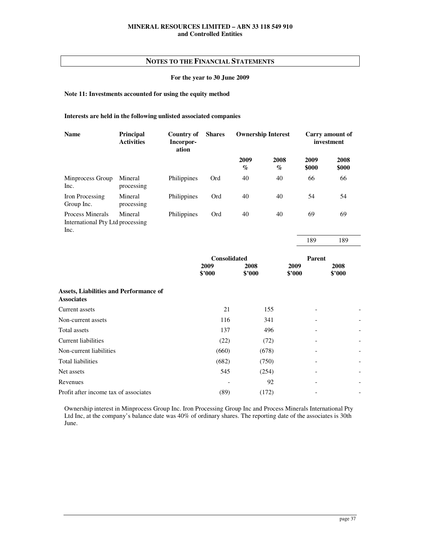## **For the year to 30 June 2009**

## **Note 11: Investments accounted for using the equity method**

## **Interests are held in the following unlisted associated companies**

| <b>Name</b>                                                  | Principal<br><b>Activities</b> | Country of<br>Incorpor-<br>ation | <b>Shares</b> | <b>Ownership Interest</b>           |              | Carry amount of<br>investment |               |
|--------------------------------------------------------------|--------------------------------|----------------------------------|---------------|-------------------------------------|--------------|-------------------------------|---------------|
|                                                              |                                |                                  |               | 2009<br>$\mathcal{G}_{\mathcal{O}}$ | 2008<br>$\%$ | 2009<br>\$000                 | 2008<br>\$000 |
| Minprocess Group<br>Inc.                                     | Mineral<br>processing          | Philippines                      | Ord           | 40                                  | 40           | 66                            | 66            |
| Iron Processing<br>Group Inc.                                | Mineral<br>processing          | Philippines                      | Ord           | 40                                  | 40           | 54                            | 54            |
| Process Minerals<br>International Pty Ltd processing<br>Inc. | Mineral                        | Philippines                      | Ord           | 40                                  | 40           | 69                            | 69            |

189 189

|                                                                    | <b>Consolidated</b> |                | Parent         |                |                          |
|--------------------------------------------------------------------|---------------------|----------------|----------------|----------------|--------------------------|
|                                                                    | 2009<br>\$2000      | 2008<br>\$2000 | 2009<br>\$'000 | 2008<br>\$'000 |                          |
| <b>Assets, Liabilities and Performance of</b><br><b>Associates</b> |                     |                |                |                |                          |
| Current assets                                                     | 21                  | 155            |                |                |                          |
| Non-current assets                                                 | 116                 | 341            |                | -              |                          |
| Total assets                                                       | 137                 | 496            |                |                |                          |
| Current liabilities                                                | (22)                | (72)           |                |                |                          |
| Non-current liabilities                                            | (660)               | (678)          |                |                |                          |
| Total liabilities                                                  | (682)               | (750)          |                |                |                          |
| Net assets                                                         | 545                 | (254)          |                |                | $\overline{\phantom{a}}$ |
| Revenues                                                           |                     | 92             |                |                |                          |
| Profit after income tax of associates                              | (89)                | (172)          |                |                |                          |

Ownership interest in Minprocess Group Inc. Iron Processing Group Inc and Process Minerals International Pty Ltd Inc, at the company's balance date was 40% of ordinary shares. The reporting date of the associates is 30th June.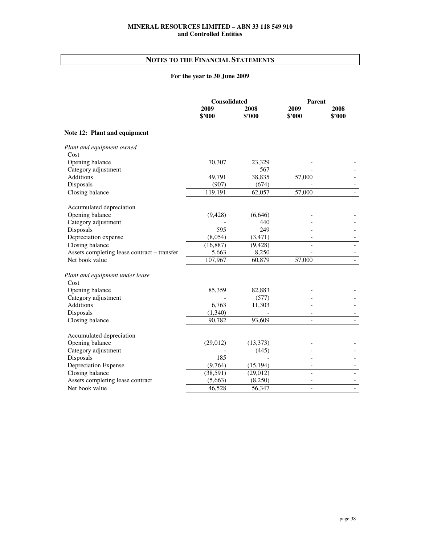# **NOTES TO THE FINANCIAL STATEMENTS**

# **For the year to 30 June 2009**

|                                             | <b>Consolidated</b> |                | Parent         |                |
|---------------------------------------------|---------------------|----------------|----------------|----------------|
|                                             | 2009<br>\$'000      | 2008<br>\$'000 | 2009<br>\$2000 | 2008<br>\$'000 |
| Note 12: Plant and equipment                |                     |                |                |                |
| Plant and equipment owned                   |                     |                |                |                |
| Cost                                        |                     |                |                |                |
| Opening balance                             | 70,307              | 23,329         |                |                |
| Category adjustment                         |                     | 567            |                |                |
| <b>Additions</b>                            | 49,791              | 38,835         | 57,000         |                |
| Disposals                                   | (907)               | (674)          |                |                |
| Closing balance                             | 119,191             | 62,057         | 57,000         |                |
| Accumulated depreciation                    |                     |                |                |                |
| Opening balance                             | (9, 428)            | (6,646)        |                |                |
| Category adjustment                         |                     | 440            |                |                |
| Disposals                                   | 595                 | 249            |                |                |
| Depreciation expense                        | (8,054)             | (3,471)        |                |                |
| Closing balance                             | (16, 887)           | (9, 428)       |                |                |
| Assets completing lease contract - transfer | 5,663               | 8,250          |                |                |
| Net book value                              | 107,967             | 60,879         | 57,000         |                |
| Plant and equipment under lease             |                     |                |                |                |
| Cost                                        |                     |                |                |                |
| Opening balance                             | 85,359              | 82,883         |                |                |
| Category adjustment                         |                     | (577)          |                |                |
| Additions                                   | 6,763               | 11,303         |                |                |
| Disposals                                   | (1,340)             |                |                |                |
| Closing balance                             | 90,782              | 93,609         |                |                |
| Accumulated depreciation                    |                     |                |                |                |
| Opening balance                             | (29,012)            | (13, 373)      |                |                |
| Category adjustment                         |                     | (445)          |                |                |
| Disposals                                   | 185                 |                |                |                |
| Depreciation Expense                        | (9,764)             | (15, 194)      |                |                |
| Closing balance                             | (38, 591)           | (29, 012)      |                |                |
| Assets completing lease contract            | (5,663)             | (8,250)        | ۰              |                |
| Net book value                              | 46,528              | 56,347         | $\overline{a}$ |                |
|                                             |                     |                |                |                |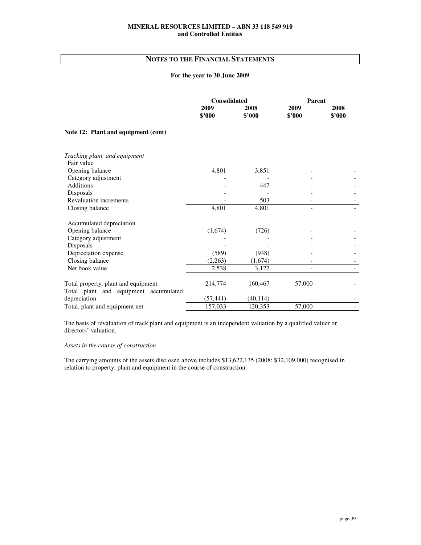# **NOTES TO THE FINANCIAL STATEMENTS**

## **For the year to 30 June 2009**

|                                                                              | <b>Consolidated</b> |                | <b>Parent</b>            |                |
|------------------------------------------------------------------------------|---------------------|----------------|--------------------------|----------------|
|                                                                              | 2009<br>\$'000      | 2008<br>\$'000 | 2009<br>\$2000           | 2008<br>\$2000 |
| Note 12: Plant and equipment (cont)                                          |                     |                |                          |                |
| Tracking plant and equipment                                                 |                     |                |                          |                |
| Fair value                                                                   |                     |                |                          |                |
| Opening balance                                                              | 4,801               | 3,851          |                          |                |
| Category adjustment                                                          |                     |                |                          |                |
| <b>Additions</b>                                                             |                     | 447            |                          |                |
| Disposals                                                                    |                     |                |                          |                |
| <b>Revaluation increments</b>                                                |                     | 503            |                          |                |
| Closing balance                                                              | 4,801               | 4,801          |                          |                |
| Accumulated depreciation                                                     |                     |                |                          |                |
| Opening balance                                                              | (1,674)             | (726)          |                          |                |
| Category adjustment                                                          |                     |                |                          |                |
| Disposals                                                                    |                     |                |                          |                |
| Depreciation expense                                                         | (589)               | (948)          |                          |                |
| Closing balance                                                              | (2,263)             | (1,674)        | $\overline{\phantom{a}}$ |                |
| Net book value                                                               | 2,538               | 3,127          |                          |                |
| Total property, plant and equipment<br>Total plant and equipment accumulated | 214,774             | 160,467        | 57,000                   |                |
| depreciation                                                                 | (57, 441)           | (40, 114)      |                          |                |
| Total, plant and equipment net                                               | 157,033             | 120,353        | 57,000                   |                |
|                                                                              |                     |                |                          |                |

The basis of revaluation of track plant and equipment is an independent valuation by a qualified valuer or directors' valuation.

## *Assets in the course of construction*

The carrying amounts of the assets disclosed above includes \$13,622,135 (2008: \$32,109,000) recognised in relation to property, plant and equipment in the course of construction.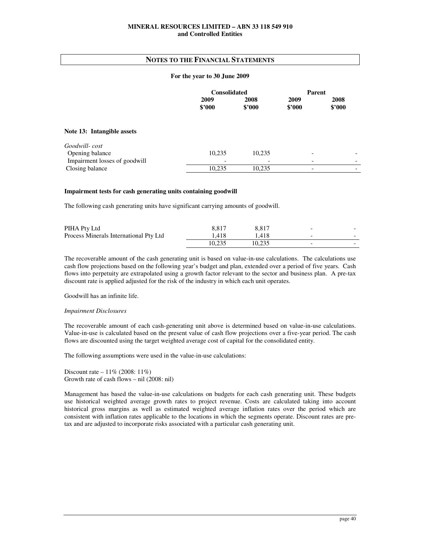## **NOTES TO THE FINANCIAL STATEMENTS**

#### **For the year to 30 June 2009**

|                               | <b>Consolidated</b> |                | Parent         |                |
|-------------------------------|---------------------|----------------|----------------|----------------|
|                               | 2009<br>\$2000      | 2008<br>\$2000 | 2009<br>\$2000 | 2008<br>\$2000 |
| Note 13: Intangible assets    |                     |                |                |                |
| Goodwill-cost                 |                     |                |                |                |
| Opening balance               | 10,235              | 10,235         |                |                |
| Impairment losses of goodwill |                     |                |                |                |
| Closing balance               | 10,235              | 10,235         |                |                |

## **Impairment tests for cash generating units containing goodwill**

The following cash generating units have significant carrying amounts of goodwill.

| PIHA Pty Ltd                           | 8.817  | 8.817  | $\overline{\phantom{a}}$ | - |
|----------------------------------------|--------|--------|--------------------------|---|
| Process Minerals International Pty Ltd | 1.418  | .418   | $\overline{\phantom{a}}$ | - |
|                                        | 10.235 | 10.235 | $\overline{\phantom{a}}$ | - |

The recoverable amount of the cash generating unit is based on value-in-use calculations. The calculations use cash flow projections based on the following year's budget and plan, extended over a period of five years. Cash flows into perpetuity are extrapolated using a growth factor relevant to the sector and business plan. A pre-tax discount rate is applied adjusted for the risk of the industry in which each unit operates.

Goodwill has an infinite life.

#### *Impairment Disclosures*

The recoverable amount of each cash-generating unit above is determined based on value-in-use calculations. Value-in-use is calculated based on the present value of cash flow projections over a five-year period. The cash flows are discounted using the target weighted average cost of capital for the consolidated entity.

The following assumptions were used in the value-in-use calculations:

Discount rate – 11% (2008: 11%) Growth rate of cash flows – nil (2008: nil)

Management has based the value-in-use calculations on budgets for each cash generating unit. These budgets use historical weighted average growth rates to project revenue. Costs are calculated taking into account historical gross margins as well as estimated weighted average inflation rates over the period which are consistent with inflation rates applicable to the locations in which the segments operate. Discount rates are pretax and are adjusted to incorporate risks associated with a particular cash generating unit.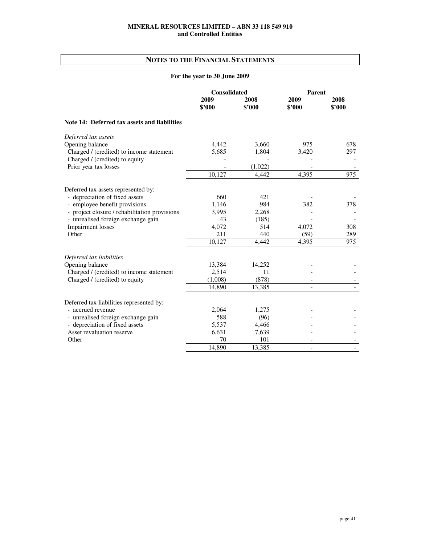# **NOTES TO THE FINANCIAL STATEMENTS**

# **For the year to 30 June 2009**

|                                               | <b>Consolidated</b> |                | Parent         |                |
|-----------------------------------------------|---------------------|----------------|----------------|----------------|
|                                               | 2009<br>\$'000      | 2008<br>\$2000 | 2009<br>\$2000 | 2008<br>\$2000 |
| Note 14: Deferred tax assets and liabilities  |                     |                |                |                |
| Deferred tax assets                           |                     |                |                |                |
| Opening balance                               | 4,442               | 3,660          | 975            | 678            |
| Charged / (credited) to income statement      | 5,685               | 1,804          | 3,420          | 297            |
| Charged / (credited) to equity                |                     |                |                |                |
| Prior year tax losses                         |                     | (1,022)        |                |                |
|                                               | 10,127              | 4,442          | 4,395          | 975            |
| Deferred tax assets represented by:           |                     |                |                |                |
| - depreciation of fixed assets                | 660                 | 421            |                |                |
| - employee benefit provisions                 | 1,146               | 984            | 382            | 378            |
| - project closure / rehabilitation provisions | 3.995               | 2,268          |                |                |
| - unrealised foreign exchange gain            | 43                  | (185)          |                |                |
| <b>Impairment</b> losses                      | 4,072               | 514            | 4,072          | 308            |
| Other                                         | 211                 | 440            | (59)           | 289            |
|                                               | 10,127              | 4,442          | 4,395          | 975            |
| Deferred tax liabilities                      |                     |                |                |                |
| Opening balance                               | 13,384              | 14,252         |                |                |
| Charged / (credited) to income statement      | 2,514               | 11             |                |                |
| Charged / (credited) to equity                | (1,008)             | (878)          |                |                |
|                                               | 14.890              | 13,385         |                |                |
| Deferred tax liabilities represented by:      |                     |                |                |                |
| - accrued revenue                             | 2,064               | 1,275          |                |                |
| - unrealised foreign exchange gain            | 588                 | (96)           |                |                |
| - depreciation of fixed assets                | 5,537               | 4,466          |                |                |
| Asset revaluation reserve                     | 6,631               | 7,639          |                |                |
| Other                                         | 70                  | 101            |                |                |
|                                               | 14,890              | 13,385         |                |                |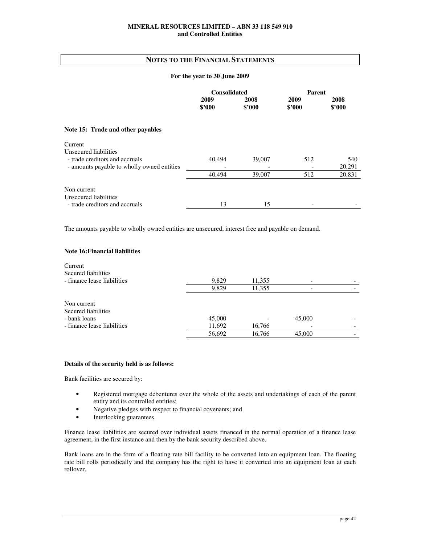## **NOTES TO THE FINANCIAL STATEMENTS**

#### **For the year to 30 June 2009**

|                                            | <b>Consolidated</b> |                | <b>Parent</b>  |                |
|--------------------------------------------|---------------------|----------------|----------------|----------------|
|                                            | 2009<br>\$2000      | 2008<br>\$2000 | 2009<br>\$2000 | 2008<br>\$2000 |
|                                            |                     |                |                |                |
| Note 15: Trade and other payables          |                     |                |                |                |
| Current                                    |                     |                |                |                |
| Unsecured liabilities                      |                     |                |                |                |
| - trade creditors and accruals             | 40,494              | 39,007         | 512            | 540            |
| - amounts payable to wholly owned entities |                     |                |                | 20,291         |
|                                            | 40,494              | 39,007         | 512            | 20,831         |
| Non current                                |                     |                |                |                |
| Unsecured liabilities                      |                     |                |                |                |
| - trade creditors and accruals             | 13                  | 15             |                |                |

The amounts payable to wholly owned entities are unsecured, interest free and payable on demand.

## **Note 16: Financial liabilities**

| Current<br>Secured liabilities<br>- finance lease liabilities                     | 9,829                      | 11,355           |                  |  |
|-----------------------------------------------------------------------------------|----------------------------|------------------|------------------|--|
|                                                                                   | 9,829                      | 11,355           |                  |  |
| Non current<br>Secured liabilities<br>- bank loans<br>- finance lease liabilities | 45,000<br>11,692<br>56,692 | 16,766<br>16,766 | 45,000<br>45,000 |  |

## **Details of the security held is as follows:**

Bank facilities are secured by:

- Registered mortgage debentures over the whole of the assets and undertakings of each of the parent entity and its controlled entities;
- Negative pledges with respect to financial covenants; and
- Interlocking guarantees.

Finance lease liabilities are secured over individual assets financed in the normal operation of a finance lease agreement, in the first instance and then by the bank security described above.

Bank loans are in the form of a floating rate bill facility to be converted into an equipment loan. The floating rate bill rolls periodically and the company has the right to have it converted into an equipment loan at each rollover.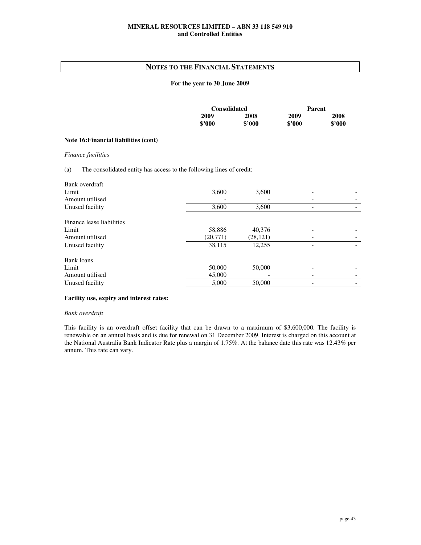## **NOTES TO THE FINANCIAL STATEMENTS**

## **For the year to 30 June 2009**

|        | <b>Consolidated</b> |        | Parent |
|--------|---------------------|--------|--------|
| 2009   | 2008                | 2009   | 2008   |
| \$'000 | \$2000              | \$2000 | \$2000 |

## **Note 16: Financial liabilities (cont)**

*Finance facilities* 

## (a) The consolidated entity has access to the following lines of credit:

| 3,600     | 3,600     |  |
|-----------|-----------|--|
|           |           |  |
| 3,600     | 3,600     |  |
|           |           |  |
| 58,886    | 40,376    |  |
| (20, 771) | (28, 121) |  |
| 38,115    | 12,255    |  |
|           |           |  |
| 50,000    | 50,000    |  |
| 45,000    |           |  |
| 5,000     | 50,000    |  |
|           |           |  |

## **Facility use, expiry and interest rates:**

#### *Bank overdraft*

This facility is an overdraft offset facility that can be drawn to a maximum of \$3,600,000. The facility is renewable on an annual basis and is due for renewal on 31 December 2009. Interest is charged on this account at the National Australia Bank Indicator Rate plus a margin of 1.75%. At the balance date this rate was 12.43% per annum. This rate can vary.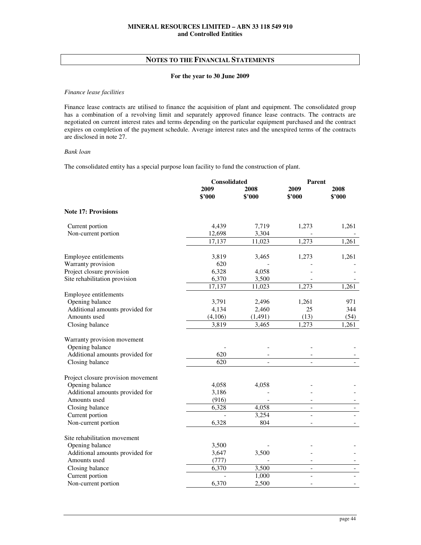## **For the year to 30 June 2009**

#### *Finance lease facilities*

Finance lease contracts are utilised to finance the acquisition of plant and equipment. The consolidated group has a combination of a revolving limit and separately approved finance lease contracts. The contracts are negotiated on current interest rates and terms depending on the particular equipment purchased and the contract expires on completion of the payment schedule. Average interest rates and the unexpired terms of the contracts are disclosed in note 27.

## *Bank loan*

The consolidated entity has a special purpose loan facility to fund the construction of plant.

|                                    | Consolidated     |                | <b>Parent</b>            |                |
|------------------------------------|------------------|----------------|--------------------------|----------------|
|                                    | 2009<br>\$'000   | 2008<br>\$2000 | 2009<br>\$2000           | 2008<br>\$2000 |
| <b>Note 17: Provisions</b>         |                  |                |                          |                |
| Current portion                    | 4,439            | 7,719          | 1,273                    | 1,261          |
| Non-current portion                | 12,698           | 3,304          |                          |                |
|                                    | 17,137           | 11,023         | 1,273                    | 1,261          |
| Employee entitlements              | 3,819            | 3,465          | 1,273                    | 1,261          |
| Warranty provision                 | 620              |                |                          |                |
| Project closure provision          | 6,328            | 4,058          |                          |                |
| Site rehabilitation provision      | 6,370            | 3,500          |                          |                |
|                                    | 17,137           | 11,023         | 1,273                    | 1,261          |
| Employee entitlements              |                  |                |                          |                |
| Opening balance                    | 3,791            | 2,496          | 1,261                    | 971            |
| Additional amounts provided for    | 4,134            | 2,460          | 25                       | 344            |
| Amounts used                       | (4,106)          | (1, 491)       | (13)                     | (54)           |
| Closing balance                    | 3,819            | 3,465          | 1,273                    | 1,261          |
| Warranty provision movement        |                  |                |                          |                |
| Opening balance                    |                  |                |                          |                |
| Additional amounts provided for    | 620              |                |                          |                |
| Closing balance                    | $\overline{620}$ |                |                          |                |
| Project closure provision movement |                  |                |                          |                |
| Opening balance                    | 4,058            | 4,058          |                          |                |
| Additional amounts provided for    | 3,186            |                |                          |                |
| Amounts used                       | (916)            |                |                          |                |
| Closing balance                    | 6,328            | 4,058          | $\overline{\phantom{a}}$ |                |
| Current portion                    |                  | 3,254          |                          |                |
| Non-current portion                | 6.328            | 804            |                          |                |
| Site rehabilitation movement       |                  |                |                          |                |
| Opening balance                    | 3,500            |                |                          |                |
| Additional amounts provided for    | 3,647            | 3,500          |                          |                |
| Amounts used                       | (777)            |                |                          |                |
| Closing balance                    | 6,370            | 3,500          | $\overline{\phantom{a}}$ |                |
| Current portion                    |                  | 1,000          |                          |                |
| Non-current portion                | 6,370            | 2,500          | $\overline{a}$           |                |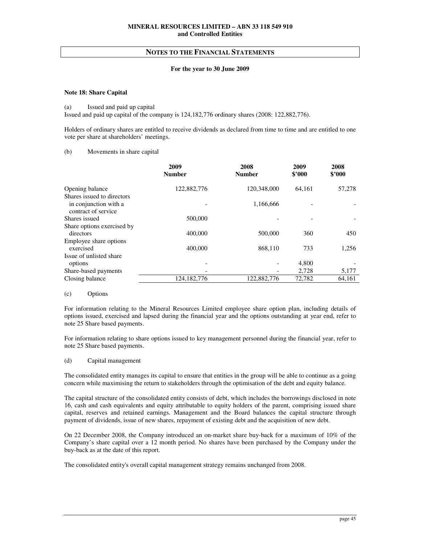## **For the year to 30 June 2009**

## **Note 18: Share Capital**

#### (a) Issued and paid up capital

Issued and paid up capital of the company is 124,182,776 ordinary shares (2008: 122,882,776).

Holders of ordinary shares are entitled to receive dividends as declared from time to time and are entitled to one vote per share at shareholders' meetings.

## (b) Movements in share capital

|                                              | 2009<br><b>Number</b> | 2008<br><b>Number</b>    | 2009<br>\$2000 | 2008<br>\$2000 |
|----------------------------------------------|-----------------------|--------------------------|----------------|----------------|
| Opening balance                              | 122,882,776           | 120,348,000              | 64.161         | 57,278         |
| Shares issued to directors                   |                       |                          |                |                |
| in conjunction with a<br>contract of service |                       | 1,166,666                |                |                |
| Shares issued                                | 500,000               |                          |                |                |
| Share options exercised by                   |                       |                          |                |                |
| directors                                    | 400,000               | 500,000                  | 360            | 450            |
| Employee share options                       |                       |                          |                |                |
| exercised                                    | 400,000               | 868,110                  | 733            | 1,256          |
| Issue of unlisted share                      |                       |                          |                |                |
| options                                      |                       | -                        | 4,800          |                |
| Share-based payments                         |                       | $\overline{\phantom{a}}$ | 2,728          | 5,177          |
| Closing balance                              | 124, 182, 776         | 122,882,776              | 72.782         | 64.161         |

#### (c) Options

For information relating to the Mineral Resources Limited employee share option plan, including details of options issued, exercised and lapsed during the financial year and the options outstanding at year end, refer to note 25 Share based payments.

For information relating to share options issued to key management personnel during the financial year, refer to note 25 Share based payments.

#### (d) Capital management

The consolidated entity manages its capital to ensure that entities in the group will be able to continue as a going concern while maximising the return to stakeholders through the optimisation of the debt and equity balance.

The capital structure of the consolidated entity consists of debt, which includes the borrowings disclosed in note 16, cash and cash equivalents and equity attributable to equity holders of the parent, comprising issued share capital, reserves and retained earnings. Management and the Board balances the capital structure through payment of dividends, issue of new shares, repayment of existing debt and the acquisition of new debt.

On 22 December 2008, the Company introduced an on-market share buy-back for a maximum of 10% of the Company's share capital over a 12 month period. No shares have been purchased by the Company under the buy-back as at the date of this report.

The consolidated entity's overall capital management strategy remains unchanged from 2008.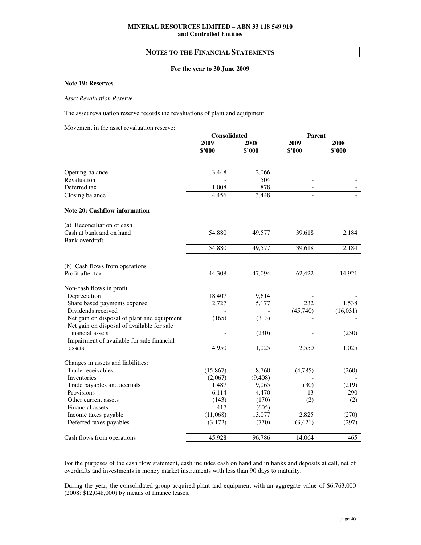## **For the year to 30 June 2009**

## **Note 19: Reserves**

## *Asset Revaluation Reserve*

The asset revaluation reserve records the revaluations of plant and equipment.

Movement in the asset revaluation reserve:

|                                                                                           | Consolidated   |                | <b>Parent</b>            |                |
|-------------------------------------------------------------------------------------------|----------------|----------------|--------------------------|----------------|
|                                                                                           | 2009<br>\$2000 | 2008<br>\$2000 | 2009<br>\$'000           | 2008<br>\$'000 |
| Opening balance                                                                           | 3,448          | 2,066          |                          |                |
| Revaluation                                                                               |                | 504            |                          |                |
| Deferred tax                                                                              | 1,008          | 878            | $\overline{a}$           |                |
| Closing balance                                                                           | 4,456          | 3,448          | $\overline{\phantom{a}}$ |                |
| <b>Note 20: Cashflow information</b>                                                      |                |                |                          |                |
| (a) Reconciliation of cash                                                                |                |                |                          |                |
| Cash at bank and on hand                                                                  | 54,880         | 49,577         | 39,618                   | 2,184          |
| Bank overdraft                                                                            |                |                |                          |                |
|                                                                                           | 54,880         | 49,577         | 39,618                   | 2,184          |
| (b) Cash flows from operations                                                            |                |                |                          |                |
| Profit after tax                                                                          | 44,308         | 47,094         | 62,422                   | 14,921         |
| Non-cash flows in profit                                                                  |                |                |                          |                |
| Depreciation                                                                              | 18,407         | 19,614         |                          |                |
| Share based payments expense                                                              | 2,727          | 5,177          | 232                      | 1,538          |
| Dividends received                                                                        |                |                | (45,740)                 | (16, 031)      |
| Net gain on disposal of plant and equipment<br>Net gain on disposal of available for sale | (165)          | (313)          |                          |                |
| financial assets                                                                          |                | (230)          |                          | (230)          |
| Impairment of available for sale financial                                                |                |                |                          |                |
| assets                                                                                    | 4,950          | 1,025          | 2,550                    | 1,025          |
| Changes in assets and liabilities:                                                        |                |                |                          |                |
| Trade receivables                                                                         | (15, 867)      | 8,760          | (4,785)                  | (260)          |
| Inventories                                                                               | (2,067)        | (9,408)        |                          |                |
| Trade payables and accruals                                                               | 1,487          | 9,065          | (30)                     | (219)          |
| Provisions                                                                                | 6,114          | 4,470          | 13                       | 290            |
| Other current assets                                                                      | (143)          | (170)          | (2)                      | (2)            |
| Financial assets                                                                          | 417            | (605)          |                          |                |
| Income taxes payable                                                                      | (11,068)       | 13,077         | 2,825                    | (270)          |
| Deferred taxes payables                                                                   | (3,172)        | (770)          | (3,421)                  | (297)          |
| Cash flows from operations                                                                | 45,928         | 96,786         | 14,064                   | 465            |

For the purposes of the cash flow statement, cash includes cash on hand and in banks and deposits at call, net of overdrafts and investments in money market instruments with less than 90 days to maturity.

During the year, the consolidated group acquired plant and equipment with an aggregate value of \$6,763,000 (2008: \$12,048,000) by means of finance leases.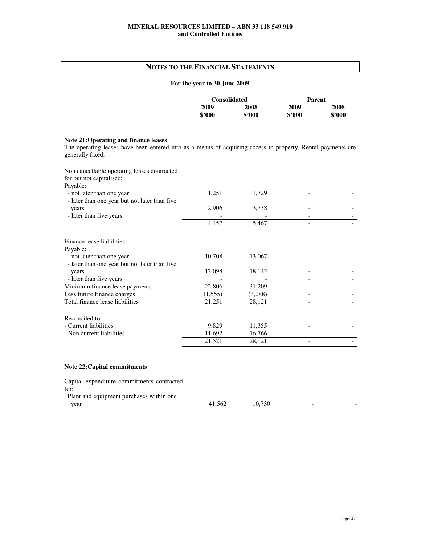# **NOTES TO THE FINANCIAL STATEMENTS**

## **For the year to 30 June 2009**

|        | <b>Consolidated</b> |        | Parent |
|--------|---------------------|--------|--------|
| 2009   | 2008                | 2009   | 2008   |
| \$2000 | \$2000              | \$'000 | \$2000 |

# **Note 21: Operating and finance leases**

The operating leases have been entered into as a means of acquiring access to property. Rental payments are generally fixed.

| Non cancellable operating leases contracted<br>for but not capitalised:    |         |         |  |
|----------------------------------------------------------------------------|---------|---------|--|
| Payable:                                                                   |         |         |  |
| - not later than one year<br>- later than one year but not later than five | 1,251   | 1,729   |  |
| years                                                                      | 2,906   | 3,738   |  |
| - later than five years                                                    |         |         |  |
|                                                                            | 4,157   | 5,467   |  |
| Finance lease liabilities                                                  |         |         |  |
| Payable:                                                                   |         |         |  |
| - not later than one year                                                  | 10,708  | 13,067  |  |
| - later than one year but not later than five                              |         |         |  |
| years                                                                      | 12,098  | 18,142  |  |
| - later than five years                                                    |         |         |  |
| Minimum finance lease payments                                             | 22,806  | 31,209  |  |
| Less future finance charges                                                | (1,555) | (3,088) |  |
| Total finance lease liabilities                                            | 21,251  | 28,121  |  |
| Reconciled to:                                                             |         |         |  |
| - Current liabilities                                                      | 9,829   | 11,355  |  |
| - Non current liabilities                                                  | 11,692  | 16,766  |  |
|                                                                            | 21,521  | 28,121  |  |

## **Note 22: Capital commitments**

| Capital expenditure commitments contracted |        |        |   |  |
|--------------------------------------------|--------|--------|---|--|
| for:                                       |        |        |   |  |
| Plant and equipment purchases within one   |        |        |   |  |
| vear                                       | 41.562 | 10.730 | - |  |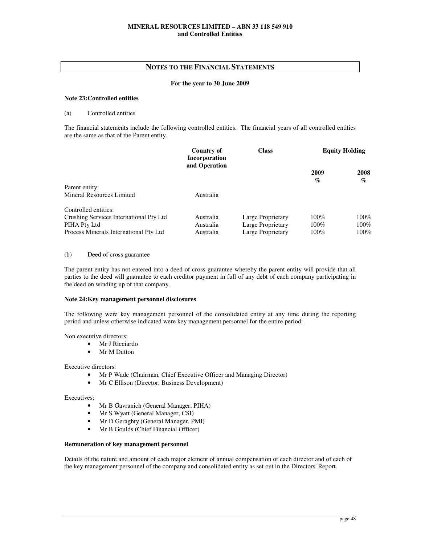## **For the year to 30 June 2009**

## **Note 23: Controlled entities**

## (a) Controlled entities

The financial statements include the following controlled entities. The financial years of all controlled entities are the same as that of the Parent entity.

|                                         | Country of<br>Incorporation<br>and Operation | <b>Class</b>      |                                     | <b>Equity Holding</b>               |
|-----------------------------------------|----------------------------------------------|-------------------|-------------------------------------|-------------------------------------|
|                                         |                                              |                   | 2009<br>$\mathcal{G}_{\mathcal{O}}$ | 2008<br>$\mathcal{O}_{\mathcal{O}}$ |
| Parent entity:                          |                                              |                   |                                     |                                     |
| Mineral Resources Limited               | Australia                                    |                   |                                     |                                     |
| Controlled entities:                    |                                              |                   |                                     |                                     |
| Crushing Services International Pty Ltd | Australia                                    | Large Proprietary | $100\%$                             | $100\%$                             |
| PIHA Pty Ltd                            | Australia                                    | Large Proprietary | $100\%$                             | 100%                                |
| Process Minerals International Pty Ltd  | Australia                                    | Large Proprietary | $100\%$                             | $100\%$                             |

## (b) Deed of cross guarantee

The parent entity has not entered into a deed of cross guarantee whereby the parent entity will provide that all parties to the deed will guarantee to each creditor payment in full of any debt of each company participating in the deed on winding up of that company.

#### **Note 24: Key management personnel disclosures**

The following were key management personnel of the consolidated entity at any time during the reporting period and unless otherwise indicated were key management personnel for the entire period:

Non executive directors:

- Mr J Ricciardo
- Mr M Dutton

Executive directors:

- Mr P Wade (Chairman, Chief Executive Officer and Managing Director)
- Mr C Ellison (Director, Business Development)

Executives:

- Mr B Gavranich (General Manager, PIHA)
- Mr S Wyatt (General Manager, CSI)
- Mr D Geraghty (General Manager, PMI)
- Mr B Goulds (Chief Financial Officer)

## **Remuneration of key management personnel**

Details of the nature and amount of each major element of annual compensation of each director and of each of the key management personnel of the company and consolidated entity as set out in the Directors' Report.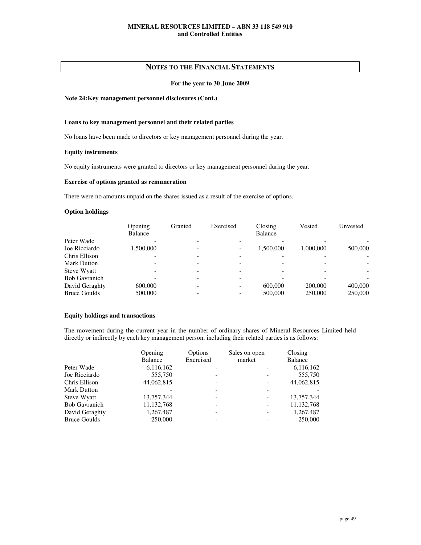## **NOTES TO THE FINANCIAL STATEMENTS**

## **For the year to 30 June 2009**

## **Note 24: Key management personnel disclosures (Cont.)**

## **Loans to key management personnel and their related parties**

No loans have been made to directors or key management personnel during the year.

## **Equity instruments**

No equity instruments were granted to directors or key management personnel during the year.

## **Exercise of options granted as remuneration**

There were no amounts unpaid on the shares issued as a result of the exercise of options.

## **Option holdings**

|                      | Opening<br><b>Balance</b> | Granted | Exercised | Closing<br>Balance | Vested    | Unvested                 |
|----------------------|---------------------------|---------|-----------|--------------------|-----------|--------------------------|
| Peter Wade           |                           |         |           |                    |           |                          |
| Joe Ricciardo        | 1.500.000                 |         |           | 1.500.000          | 1.000.000 | 500,000                  |
| Chris Ellison        |                           |         |           |                    |           |                          |
| Mark Dutton          |                           |         |           |                    |           |                          |
| Steve Wyatt          |                           |         |           |                    |           | $\overline{\phantom{a}}$ |
| <b>Bob Gavranich</b> |                           |         |           |                    |           |                          |
| David Geraghty       | 600,000                   |         |           | 600,000            | 200,000   | 400,000                  |
| <b>Bruce Goulds</b>  | 500,000                   |         |           | 500,000            | 250,000   | 250,000                  |

#### **Equity holdings and transactions**

The movement during the current year in the number of ordinary shares of Mineral Resources Limited held directly or indirectly by each key management person, including their related parties is as follows:

|                      | Opening    | Options                  | Sales on open | Closing      |
|----------------------|------------|--------------------------|---------------|--------------|
|                      | Balance    | Exercised                | market        | Balance      |
| Peter Wade           | 6,116,162  |                          |               | 6,116,162    |
| Joe Ricciardo        | 555,750    |                          |               | 555,750      |
| Chris Ellison        | 44,062,815 |                          |               | 44,062,815   |
| <b>Mark Dutton</b>   |            |                          |               |              |
| Steve Wyatt          | 13,757,344 | $\overline{\phantom{0}}$ |               | 13,757,344   |
| <b>Bob Gavranich</b> | 11,132,768 |                          |               | 11, 132, 768 |
| David Geraghty       | 1,267,487  |                          |               | 1,267,487    |
| <b>Bruce Goulds</b>  | 250,000    |                          |               | 250,000      |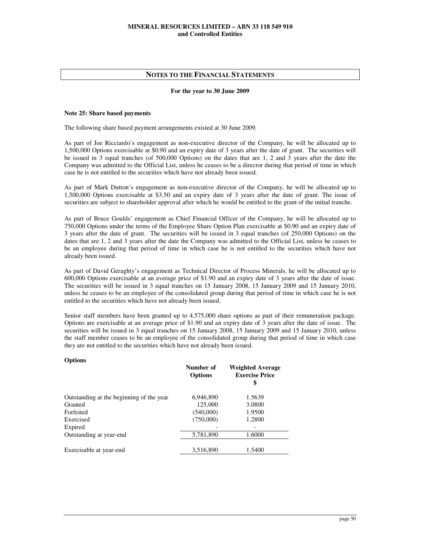## **For the year to 30 June 2009**

#### **Note 25: Share based payments**

The following share based payment arrangements existed at 30 June 2009.

As part of Joe Ricciardo's engagement as non-executive director of the Company, he will be allocated up to 1,500,000 Options exercisable at \$0.90 and an expiry date of 3 years after the date of grant. The securities will be issued in 3 equal tranches (of 500,000 Options) on the dates that are 1, 2 and 3 years after the date the Company was admitted to the Official List, unless he ceases to be a director during that period of time in which case he is not entitled to the securities which have not already been issued.

As part of Mark Dutton's engagement as non-executive director of the Company, he will be allocated up to 1,500,000 Options exercisable at \$3.50 and an expiry date of 3 years after the date of grant. The issue of securities are subject to shareholder approval after which he would be entitled to the grant of the initial tranche.

As part of Bruce Goulds' engagement as Chief Financial Officer of the Company, he will be allocated up to 750,000 Options under the terms of the Employee Share Option Plan exercisable at \$0.90 and an expiry date of 3 years after the date of grant. The securities will be issued in 3 equal tranches (of 250,000 Options) on the dates that are 1, 2 and 3 years after the date the Company was admitted to the Official List, unless he ceases to be an employee during that period of time in which case he is not entitled to the securities which have not already been issued.

As part of David Geraghty's engagement as Technical Director of Process Minerals, he will be allocated up to 600,000 Options exercisable at an average price of \$1.90 and an expiry date of 3 years after the date of issue. The securities will be issued in 3 equal tranches on 15 January 2008, 15 January 2009 and 15 January 2010, unless he ceases to be an employee of the consolidated group during that period of time in which case he is not entitled to the securities which have not already been issued.

Senior staff members have been granted up to 4,575,000 share options as part of their remuneration package. Options are exercisable at an average price of \$1.90 and an expiry date of 3 years after the date of issue. The securities will be issued in 3 equal tranches on 15 January 2008, 15 January 2009 and 15 January 2010, unless the staff member ceases to be an employee of the consolidated group during that period of time in which case they are not entitled to the securities which have not already been issued.

## **Options**

|                                          | Number of<br><b>Options</b> | <b>Weighted Average</b><br><b>Exercise Price</b><br>\$ |
|------------------------------------------|-----------------------------|--------------------------------------------------------|
| Outstanding at the beginning of the year | 6,946,890                   | 1.5639                                                 |
| Granted                                  | 125,000                     | 3.0800                                                 |
| Forfeited                                | (540,000)                   | 1.9500                                                 |
| Exercised                                | (750,000)                   | 1.2800                                                 |
| Expired                                  |                             |                                                        |
| Outstanding at year-end                  | 5,781,890                   | 1.6000                                                 |
|                                          |                             |                                                        |
| Exercisable at year-end                  | 3,516,890                   | 1.5400                                                 |
|                                          |                             |                                                        |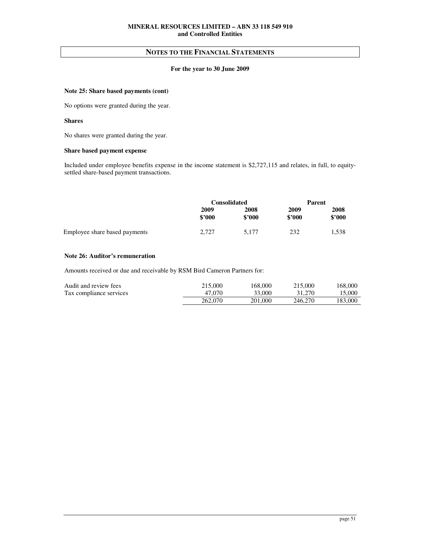## **For the year to 30 June 2009**

## **Note 25: Share based payments (cont)**

No options were granted during the year.

## **Shares**

No shares were granted during the year.

## **Share based payment expense**

Included under employee benefits expense in the income statement is \$2,727,115 and relates, in full, to equitysettled share-based payment transactions.

|                               | <b>Consolidated</b> |                | Parent         |                |
|-------------------------------|---------------------|----------------|----------------|----------------|
|                               | 2009<br>\$2000      | 2008<br>\$2000 | 2009<br>\$2000 | 2008<br>\$2000 |
| Employee share based payments | 2.727               | 5.177          | 232            | 1,538          |

#### **Note 26: Auditor's remuneration**

Amounts received or due and receivable by RSM Bird Cameron Partners for:

| Audit and review fees   | 215,000 | 168,000 | 215,000 | 168,000 |
|-------------------------|---------|---------|---------|---------|
| Tax compliance services | 47.070  | 33,000  | 31,270  | 15.000  |
|                         | 262,070 | 201.000 | 246,270 | 183.000 |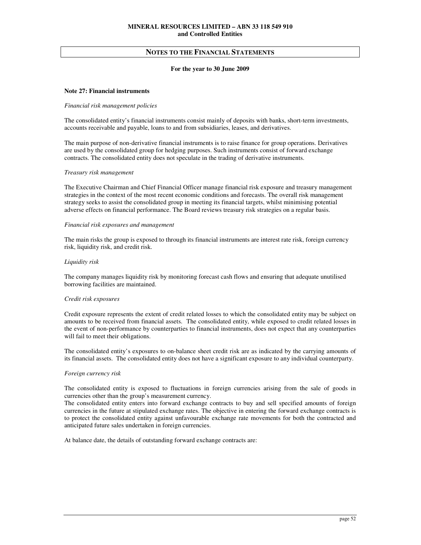#### **For the year to 30 June 2009**

## **Note 27: Financial instruments**

#### *Financial risk management policies*

The consolidated entity's financial instruments consist mainly of deposits with banks, short-term investments, accounts receivable and payable, loans to and from subsidiaries, leases, and derivatives.

The main purpose of non-derivative financial instruments is to raise finance for group operations. Derivatives are used by the consolidated group for hedging purposes. Such instruments consist of forward exchange contracts. The consolidated entity does not speculate in the trading of derivative instruments.

#### *Treasury risk management*

The Executive Chairman and Chief Financial Officer manage financial risk exposure and treasury management strategies in the context of the most recent economic conditions and forecasts. The overall risk management strategy seeks to assist the consolidated group in meeting its financial targets, whilst minimising potential adverse effects on financial performance. The Board reviews treasury risk strategies on a regular basis.

#### *Financial risk exposures and management*

The main risks the group is exposed to through its financial instruments are interest rate risk, foreign currency risk, liquidity risk, and credit risk.

#### *Liquidity risk*

The company manages liquidity risk by monitoring forecast cash flows and ensuring that adequate unutilised borrowing facilities are maintained.

#### *Credit risk exposures*

Credit exposure represents the extent of credit related losses to which the consolidated entity may be subject on amounts to be received from financial assets. The consolidated entity, while exposed to credit related losses in the event of non-performance by counterparties to financial instruments, does not expect that any counterparties will fail to meet their obligations.

The consolidated entity's exposures to on-balance sheet credit risk are as indicated by the carrying amounts of its financial assets. The consolidated entity does not have a significant exposure to any individual counterparty.

#### *Foreign currency risk*

The consolidated entity is exposed to fluctuations in foreign currencies arising from the sale of goods in currencies other than the group's measurement currency.

The consolidated entity enters into forward exchange contracts to buy and sell specified amounts of foreign currencies in the future at stipulated exchange rates. The objective in entering the forward exchange contracts is to protect the consolidated entity against unfavourable exchange rate movements for both the contracted and anticipated future sales undertaken in foreign currencies.

At balance date, the details of outstanding forward exchange contracts are: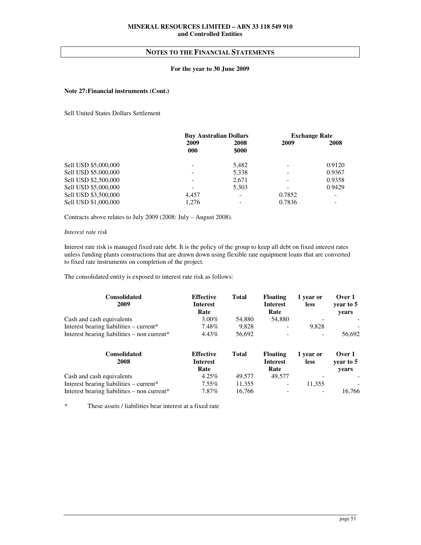## **For the year to 30 June 2009**

## **Note 27: Financial instruments (Cont.)**

Sell United States Dollars Settlement

|                      | <b>Buy Australian Dollars</b> |                          |        | <b>Exchange Rate</b> |
|----------------------|-------------------------------|--------------------------|--------|----------------------|
|                      | 2009<br>000                   | 2008<br>\$000            | 2009   | 2008                 |
| Sell USD \$5,000,000 |                               | 5,482                    |        | 0.9120               |
| Sell USD \$5,000,000 |                               | 5,338                    |        | 0.9367               |
| Sell USD \$2,500,000 |                               | 2,671                    |        | 0.9358               |
| Sell USD \$5,000,000 |                               | 5,303                    |        | 0.9429               |
| Sell USD \$3,500,000 | 4.457                         |                          | 0.7852 |                      |
| Sell USD \$1,000,000 | 1.276                         | $\overline{\phantom{a}}$ | 0.7836 |                      |

Contracts above relates to July 2009 (2008: July – August 2008).

#### *Interest rate risk*

Interest rate risk is managed fixed rate debt. It is the policy of the group to keep all debt on fixed interest rates unless funding plants constructions that are drawn down using flexible rate equipment loans that are converted to fixed rate instruments on completion of the project.

The consolidated entity is exposed to interest rate risk as follows:

| Consolidated<br>2009                                  | <b>Effective</b><br>Interest<br>Rate | Total  | <b>Floating</b><br>Interest<br>Rate | 1 year or<br><b>less</b> | Over 1<br>year to 5<br>vears |  |
|-------------------------------------------------------|--------------------------------------|--------|-------------------------------------|--------------------------|------------------------------|--|
| Cash and cash equivalents                             | $3.00\%$                             | 54.880 | 54,880                              |                          |                              |  |
| Interest bearing liabilities $-$ current <sup>*</sup> | 7.48%                                | 9.828  | $\overline{\phantom{0}}$            | 9.828                    |                              |  |
| Interest bearing liabilities $-$ non current*         | 4.43%                                | 56.692 |                                     |                          | 56,692                       |  |

| <b>Consolidated</b><br>2008                    | <b>Effective</b><br><b>Interest</b><br>Rate | Total  | <b>Floating</b><br>Interest<br>Rate | 1 year or<br><b>less</b> | Over 1<br>vear to 5<br>vears |  |
|------------------------------------------------|---------------------------------------------|--------|-------------------------------------|--------------------------|------------------------------|--|
| Cash and cash equivalents                      | 4.25%                                       | 49.577 | 49,577                              | -                        |                              |  |
| Interest bearing liabilities – current*        | $7.55\%$                                    | 11.355 | $\overline{\phantom{a}}$            | 11.355                   |                              |  |
| Interest bearing liabilities – non current $*$ | 7.87%                                       | 16.766 | $\overline{\phantom{a}}$            | $\overline{\phantom{a}}$ | 16.766                       |  |

\* These assets / liabilities bear interest at a fixed rate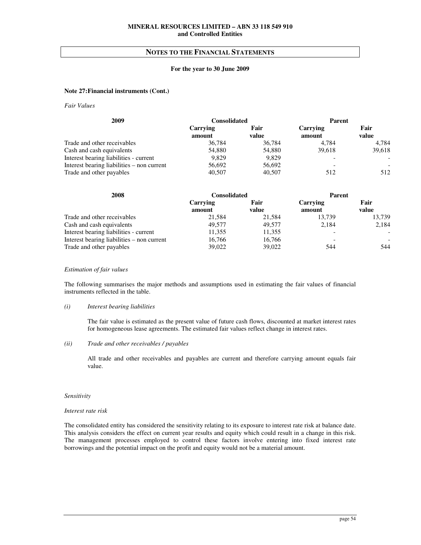## **For the year to 30 June 2009**

## **Note 27: Financial instruments (Cont.)**

*Fair Values* 

| 2009                                       | <b>Consolidated</b>       |               | <b>Parent</b>      |                          |
|--------------------------------------------|---------------------------|---------------|--------------------|--------------------------|
|                                            | <b>Carrying</b><br>amount | Fair<br>value | Carrying<br>amount | Fair<br>value            |
| Trade and other receivables                | 36,784                    | 36,784        | 4.784              | 4,784                    |
| Cash and cash equivalents                  | 54,880                    | 54,880        | 39,618             | 39,618                   |
| Interest bearing liabilities - current     | 9.829                     | 9.829         |                    | $\overline{\phantom{a}}$ |
| Interest bearing liabilities – non current | 56,692                    | 56,692        |                    |                          |
| Trade and other payables                   | 40,507                    | 40,507        | 512                | 512                      |

| 2008                                       | <b>Consolidated</b>       |               | <b>Parent</b>      |               |
|--------------------------------------------|---------------------------|---------------|--------------------|---------------|
|                                            | <b>Carrying</b><br>amount | Fair<br>value | Carrying<br>amount | Fair<br>value |
| Trade and other receivables                | 21,584                    | 21,584        | 13,739             | 13,739        |
| Cash and cash equivalents                  | 49.577                    | 49.577        | 2.184              | 2,184         |
| Interest bearing liabilities - current     | 11.355                    | 11,355        |                    |               |
| Interest bearing liabilities – non current | 16.766                    | 16.766        |                    |               |
| Trade and other payables                   | 39,022                    | 39,022        | 544                | 544           |

#### *Estimation of fair values*

The following summarises the major methods and assumptions used in estimating the fair values of financial instruments reflected in the table.

#### *(i) Interest bearing liabilities*

The fair value is estimated as the present value of future cash flows, discounted at market interest rates for homogeneous lease agreements. The estimated fair values reflect change in interest rates.

## *(ii) Trade and other receivables / payables*

All trade and other receivables and payables are current and therefore carrying amount equals fair value.

#### *Sensitivity*

## *Interest rate risk*

The consolidated entity has considered the sensitivity relating to its exposure to interest rate risk at balance date. This analysis considers the effect on current year results and equity which could result in a change in this risk. The management processes employed to control these factors involve entering into fixed interest rate borrowings and the potential impact on the profit and equity would not be a material amount.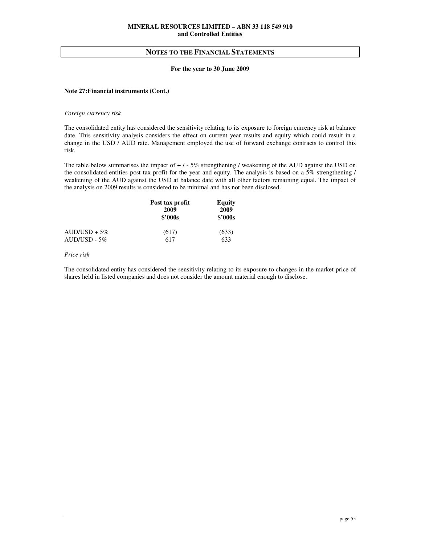#### **For the year to 30 June 2009**

## **Note 27: Financial instruments (Cont.)**

#### *Foreign currency risk*

The consolidated entity has considered the sensitivity relating to its exposure to foreign currency risk at balance date. This sensitivity analysis considers the effect on current year results and equity which could result in a change in the USD / AUD rate. Management employed the use of forward exchange contracts to control this risk.

The table below summarises the impact of  $+/-5\%$  strengthening / weakening of the AUD against the USD on the consolidated entities post tax profit for the year and equity. The analysis is based on a 5% strengthening / weakening of the AUD against the USD at balance date with all other factors remaining equal. The impact of the analysis on 2009 results is considered to be minimal and has not been disclosed.

|                | Post tax profit<br>2009<br>\$2000s | Equity<br>2009<br>\$2000s |  |
|----------------|------------------------------------|---------------------------|--|
| $AUD/USD + 5%$ | (617)                              | (633)                     |  |
| $AUD/USD - 5%$ | 617                                | 633                       |  |

#### *Price risk*

The consolidated entity has considered the sensitivity relating to its exposure to changes in the market price of shares held in listed companies and does not consider the amount material enough to disclose.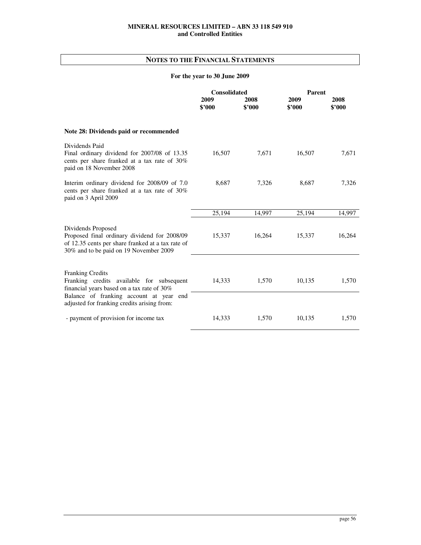# **NOTES TO THE FINANCIAL STATEMENTS**

# **For the year to 30 June 2009**

|                                                                                                                                                                                                       | <b>Consolidated</b> |                | Parent         |                |  |
|-------------------------------------------------------------------------------------------------------------------------------------------------------------------------------------------------------|---------------------|----------------|----------------|----------------|--|
|                                                                                                                                                                                                       | 2009<br>\$2000      | 2008<br>\$2000 | 2009<br>\$2000 | 2008<br>\$2000 |  |
| Note 28: Dividends paid or recommended                                                                                                                                                                |                     |                |                |                |  |
| Dividends Paid<br>Final ordinary dividend for 2007/08 of 13.35<br>cents per share franked at a tax rate of 30%<br>paid on 18 November 2008                                                            | 16,507              | 7,671          | 16,507         | 7,671          |  |
| Interim ordinary dividend for 2008/09 of 7.0<br>cents per share franked at a tax rate of 30%<br>paid on 3 April 2009                                                                                  | 8,687               | 7,326          | 8,687          | 7,326          |  |
|                                                                                                                                                                                                       | 25,194              | 14,997         | 25,194         | 14,997         |  |
| Dividends Proposed<br>Proposed final ordinary dividend for 2008/09<br>of 12.35 cents per share franked at a tax rate of<br>30% and to be paid on 19 November 2009                                     | 15,337              | 16,264         | 15,337         | 16,264         |  |
| Franking Credits<br>Franking credits available for subsequent<br>financial years based on a tax rate of 30%<br>Balance of franking account at year end<br>adjusted for franking credits arising from: | 14,333              | 1,570          | 10,135         | 1,570          |  |
| - payment of provision for income tax                                                                                                                                                                 | 14,333              | 1,570          | 10,135         | 1,570          |  |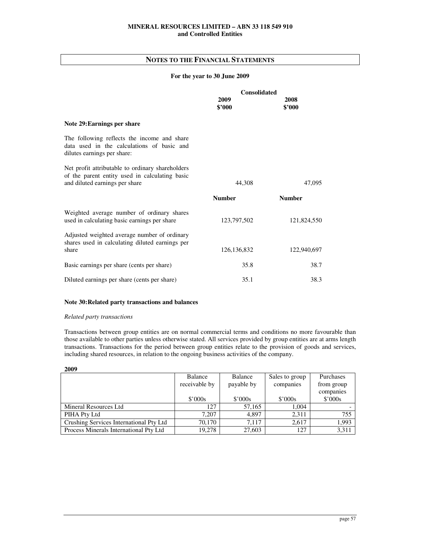## **For the year to 30 June 2009**

|                                                                                                                                      | <b>Consolidated</b> |                |  |
|--------------------------------------------------------------------------------------------------------------------------------------|---------------------|----------------|--|
|                                                                                                                                      | 2009<br>\$2000      | 2008<br>\$'000 |  |
| Note 29: Earnings per share                                                                                                          |                     |                |  |
| The following reflects the income and share<br>data used in the calculations of basic and<br>dilutes earnings per share:             |                     |                |  |
| Net profit attributable to ordinary shareholders<br>of the parent entity used in calculating basic<br>and diluted earnings per share | 44,308              | 47,095         |  |
|                                                                                                                                      | <b>Number</b>       | <b>Number</b>  |  |
| Weighted average number of ordinary shares<br>used in calculating basic earnings per share                                           | 123,797,502         | 121,824,550    |  |
| Adjusted weighted average number of ordinary<br>shares used in calculating diluted earnings per                                      |                     |                |  |
| share                                                                                                                                | 126, 136, 832       | 122,940,697    |  |
| Basic earnings per share (cents per share)                                                                                           | 35.8                | 38.7           |  |
| Diluted earnings per share (cents per share)                                                                                         | 35.1                | 38.3           |  |

## **Note 30: Related party transactions and balances**

## *Related party transactions*

Transactions between group entities are on normal commercial terms and conditions no more favourable than those available to other parties unless otherwise stated. All services provided by group entities are at arms length transactions. Transactions for the period between group entities relate to the provision of goods and services, including shared resources, in relation to the ongoing business activities of the company.

| 2009                                    |                 |            |                |                 |
|-----------------------------------------|-----------------|------------|----------------|-----------------|
|                                         | Balance         | Balance    | Sales to group | Purchases       |
|                                         | receivable by   | payable by | companies      | from group      |
|                                         |                 |            |                | companies       |
|                                         | $$^{\circ}000s$ | \$'000s    | \$'000s        | $$^{\circ}000s$ |
| Mineral Resources Ltd                   | 127             | 57,165     | 1.004          |                 |
| PIHA Pty Ltd                            | 7.207           | 4.897      | 2,311          | 755             |
| Crushing Services International Pty Ltd | 70.170          | 7.117      | 2.617          | 1,993           |
| Process Minerals International Pty Ltd  | 19.278          | 27,603     | 127            | 3,311           |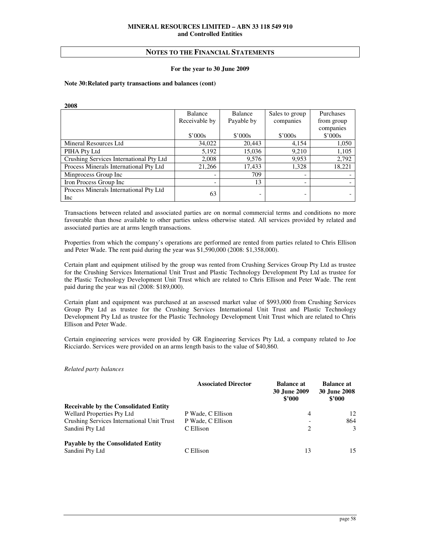#### **For the year to 30 June 2009**

## **Note 30: Related party transactions and balances (cont)**

| 2008                                    |               |                          |                |                 |  |  |  |
|-----------------------------------------|---------------|--------------------------|----------------|-----------------|--|--|--|
|                                         | Balance       | <b>Balance</b>           | Sales to group | Purchases       |  |  |  |
|                                         | Receivable by | Payable by               | companies      | from group      |  |  |  |
|                                         |               |                          |                | companies       |  |  |  |
|                                         | \$'000s       | \$'000s                  | \$'000s        | $$^{\circ}000s$ |  |  |  |
| Mineral Resources Ltd                   | 34,022        | 20,443                   | 4,154          | 1,050           |  |  |  |
| PIHA Pty Ltd                            | 5,192         | 15,036                   | 9,210          | 1,105           |  |  |  |
| Crushing Services International Pty Ltd | 2,008         | 9,576                    | 9,953          | 2,792           |  |  |  |
| Process Minerals International Pty Ltd  | 21.266        | 17,433                   | 1.328          | 18,221          |  |  |  |
| Minprocess Group Inc                    |               | 709                      |                |                 |  |  |  |
| Iron Process Group Inc                  |               | 13                       |                |                 |  |  |  |
| Process Minerals International Pty Ltd  | 63            |                          |                |                 |  |  |  |
| Inc                                     |               | $\overline{\phantom{0}}$ |                |                 |  |  |  |

Transactions between related and associated parties are on normal commercial terms and conditions no more favourable than those available to other parties unless otherwise stated. All services provided by related and associated parties are at arms length transactions.

Properties from which the company's operations are performed are rented from parties related to Chris Ellison and Peter Wade. The rent paid during the year was \$1,590,000 (2008: \$1,358,000).

Certain plant and equipment utilised by the group was rented from Crushing Services Group Pty Ltd as trustee for the Crushing Services International Unit Trust and Plastic Technology Development Pty Ltd as trustee for the Plastic Technology Development Unit Trust which are related to Chris Ellison and Peter Wade. The rent paid during the year was nil (2008: \$189,000).

Certain plant and equipment was purchased at an assessed market value of \$993,000 from Crushing Services Group Pty Ltd as trustee for the Crushing Services International Unit Trust and Plastic Technology Development Pty Ltd as trustee for the Plastic Technology Development Unit Trust which are related to Chris Ellison and Peter Wade.

Certain engineering services were provided by GR Engineering Services Pty Ltd, a company related to Joe Ricciardo. Services were provided on an arms length basis to the value of \$40,860.

*Related party balances* 

|                                              | <b>Associated Director</b> | <b>Balance at</b><br><b>30 June 2009</b><br>\$2000 | <b>Balance at</b><br><b>30 June 2008</b><br>\$2000 |
|----------------------------------------------|----------------------------|----------------------------------------------------|----------------------------------------------------|
| <b>Receivable by the Consolidated Entity</b> |                            |                                                    |                                                    |
| <b>Wellard Properties Pty Ltd</b>            | P Wade, C Ellison          | 4                                                  | 12                                                 |
| Crushing Services International Unit Trust   | P Wade, C Ellison          |                                                    | 864                                                |
| Sandini Pty Ltd                              | C Ellison                  | 2                                                  | $\mathcal{E}$                                      |
| Payable by the Consolidated Entity           |                            |                                                    |                                                    |
| Sandini Pty Ltd                              | C Ellison                  | 13                                                 | 15                                                 |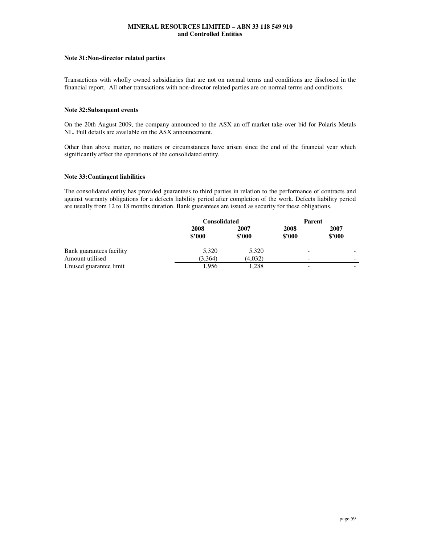## **Note 31: Non-director related parties**

Transactions with wholly owned subsidiaries that are not on normal terms and conditions are disclosed in the financial report. All other transactions with non-director related parties are on normal terms and conditions.

## **Note 32: Subsequent events**

On the 20th August 2009, the company announced to the ASX an off market take-over bid for Polaris Metals NL. Full details are available on the ASX announcement.

Other than above matter, no matters or circumstances have arisen since the end of the financial year which significantly affect the operations of the consolidated entity.

## **Note 33: Contingent liabilities**

The consolidated entity has provided guarantees to third parties in relation to the performance of contracts and against warranty obligations for a defects liability period after completion of the work. Defects liability period are usually from 12 to 18 months duration. Bank guarantees are issued as security for these obligations.

|                          | <b>Consolidated</b> |                | Parent                   |                |
|--------------------------|---------------------|----------------|--------------------------|----------------|
|                          | 2008<br>\$2000      | 2007<br>\$3000 | 2008<br>\$2000           | 2007<br>\$2000 |
| Bank guarantees facility | 5,320               | 5,320          | $\overline{\phantom{a}}$ |                |
| Amount utilised          | (3,364)             | (4,032)        | $\overline{\phantom{a}}$ |                |
| Unused guarantee limit   | 1.956               | 1.288          | $\overline{\phantom{a}}$ |                |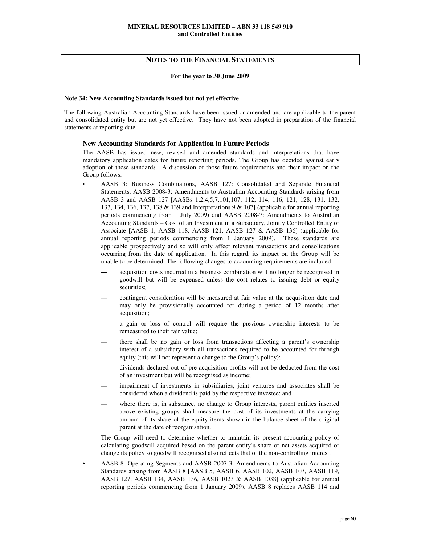#### **For the year to 30 June 2009**

## **Note 34: New Accounting Standards issued but not yet effective**

The following Australian Accounting Standards have been issued or amended and are applicable to the parent and consolidated entity but are not yet effective. They have not been adopted in preparation of the financial statements at reporting date.

## **New Accounting Standards for Application in Future Periods**

The AASB has issued new, revised and amended standards and interpretations that have mandatory application dates for future reporting periods. The Group has decided against early adoption of these standards. A discussion of those future requirements and their impact on the Group follows:

- AASB 3: Business Combinations, AASB 127: Consolidated and Separate Financial Statements, AASB 2008-3: Amendments to Australian Accounting Standards arising from AASB 3 and AASB 127 [AASBs 1,2,4,5,7,101,107, 112, 114, 116, 121, 128, 131, 132, 133, 134, 136, 137, 138 & 139 and Interpretations 9 & 107] (applicable for annual reporting periods commencing from 1 July 2009) and AASB 2008-7: Amendments to Australian Accounting Standards – Cost of an Investment in a Subsidiary, Jointly Controlled Entity or Associate [AASB 1, AASB 118, AASB 121, AASB 127 & AASB 136] (applicable for annual reporting periods commencing from 1 January 2009). These standards are applicable prospectively and so will only affect relevant transactions and consolidations occurring from the date of application. In this regard, its impact on the Group will be unable to be determined. The following changes to accounting requirements are included:
	- acquisition costs incurred in a business combination will no longer be recognised in goodwill but will be expensed unless the cost relates to issuing debt or equity securities;
	- contingent consideration will be measured at fair value at the acquisition date and may only be provisionally accounted for during a period of 12 months after acquisition;
	- a gain or loss of control will require the previous ownership interests to be remeasured to their fair value;
	- there shall be no gain or loss from transactions affecting a parent's ownership interest of a subsidiary with all transactions required to be accounted for through equity (this will not represent a change to the Group's policy);
	- dividends declared out of pre-acquisition profits will not be deducted from the cost of an investment but will be recognised as income;
	- impairment of investments in subsidiaries, joint ventures and associates shall be considered when a dividend is paid by the respective investee; and
	- where there is, in substance, no change to Group interests, parent entities inserted above existing groups shall measure the cost of its investments at the carrying amount of its share of the equity items shown in the balance sheet of the original parent at the date of reorganisation.

 The Group will need to determine whether to maintain its present accounting policy of calculating goodwill acquired based on the parent entity's share of net assets acquired or change its policy so goodwill recognised also reflects that of the non-controlling interest.

• AASB 8: Operating Segments and AASB 2007-3: Amendments to Australian Accounting Standards arising from AASB 8 [AASB 5, AASB 6, AASB 102, AASB 107, AASB 119, AASB 127, AASB 134, AASB 136, AASB 1023 & AASB 1038] (applicable for annual reporting periods commencing from 1 January 2009). AASB 8 replaces AASB 114 and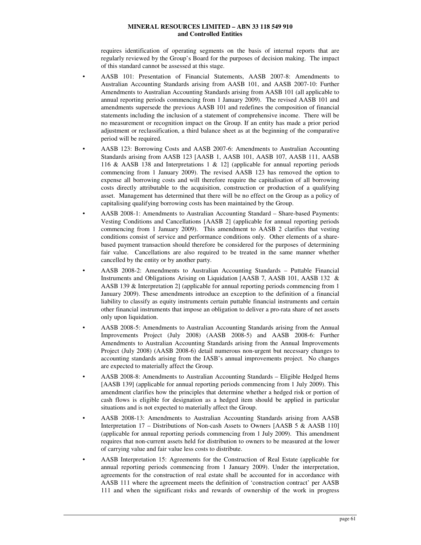requires identification of operating segments on the basis of internal reports that are regularly reviewed by the Group's Board for the purposes of decision making. The impact of this standard cannot be assessed at this stage.

- AASB 101: Presentation of Financial Statements, AASB 2007-8: Amendments to Australian Accounting Standards arising from AASB 101, and AASB 2007-10: Further Amendments to Australian Accounting Standards arising from AASB 101 (all applicable to annual reporting periods commencing from 1 January 2009). The revised AASB 101 and amendments supersede the previous AASB 101 and redefines the composition of financial statements including the inclusion of a statement of comprehensive income. There will be no measurement or recognition impact on the Group. If an entity has made a prior period adjustment or reclassification, a third balance sheet as at the beginning of the comparative period will be required.
- AASB 123: Borrowing Costs and AASB 2007-6: Amendments to Australian Accounting Standards arising from AASB 123 [AASB 1, AASB 101, AASB 107, AASB 111, AASB 116 & AASB 138 and Interpretations 1 & 12] (applicable for annual reporting periods commencing from 1 January 2009). The revised AASB 123 has removed the option to expense all borrowing costs and will therefore require the capitalisation of all borrowing costs directly attributable to the acquisition, construction or production of a qualifying asset. Management has determined that there will be no effect on the Group as a policy of capitalising qualifying borrowing costs has been maintained by the Group.
- AASB 2008-1: Amendments to Australian Accounting Standard Share-based Payments: Vesting Conditions and Cancellations [AASB 2] (applicable for annual reporting periods commencing from 1 January 2009). This amendment to AASB 2 clarifies that vesting conditions consist of service and performance conditions only. Other elements of a sharebased payment transaction should therefore be considered for the purposes of determining fair value. Cancellations are also required to be treated in the same manner whether cancelled by the entity or by another party.
- AASB 2008-2: Amendments to Australian Accounting Standards Puttable Financial Instruments and Obligations Arising on Liquidation [AASB 7, AASB 101, AASB 132 & AASB 139 & Interpretation 2] (applicable for annual reporting periods commencing from 1 January 2009). These amendments introduce an exception to the definition of a financial liability to classify as equity instruments certain puttable financial instruments and certain other financial instruments that impose an obligation to deliver a pro-rata share of net assets only upon liquidation.
- AASB 2008-5: Amendments to Australian Accounting Standards arising from the Annual Improvements Project (July 2008) (AASB 2008-5) and AASB 2008-6: Further Amendments to Australian Accounting Standards arising from the Annual Improvements Project (July 2008) (AASB 2008-6) detail numerous non-urgent but necessary changes to accounting standards arising from the IASB's annual improvements project. No changes are expected to materially affect the Group.
- AASB 2008-8: Amendments to Australian Accounting Standards Eligible Hedged Items [AASB 139] (applicable for annual reporting periods commencing from 1 July 2009). This amendment clarifies how the principles that determine whether a hedged risk or portion of cash flows is eligible for designation as a hedged item should be applied in particular situations and is not expected to materially affect the Group.
- AASB 2008-13: Amendments to Australian Accounting Standards arising from AASB Interpretation 17 – Distributions of Non-cash Assets to Owners [AASB 5 & AASB 110] (applicable for annual reporting periods commencing from 1 July 2009). This amendment requires that non-current assets held for distribution to owners to be measured at the lower of carrying value and fair value less costs to distribute.
- AASB Interpretation 15: Agreements for the Construction of Real Estate (applicable for annual reporting periods commencing from 1 January 2009). Under the interpretation, agreements for the construction of real estate shall be accounted for in accordance with AASB 111 where the agreement meets the definition of 'construction contract' per AASB 111 and when the significant risks and rewards of ownership of the work in progress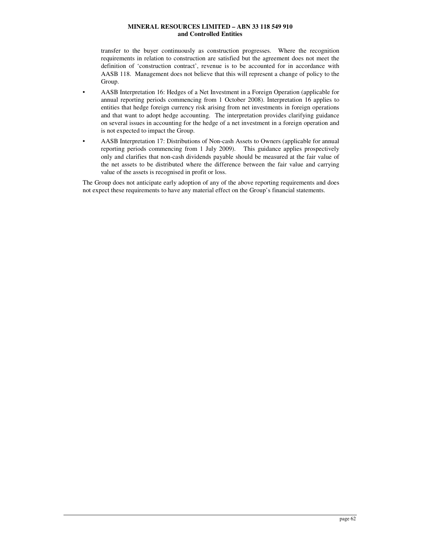transfer to the buyer continuously as construction progresses. Where the recognition requirements in relation to construction are satisfied but the agreement does not meet the definition of 'construction contract', revenue is to be accounted for in accordance with AASB 118. Management does not believe that this will represent a change of policy to the Group.

- AASB Interpretation 16: Hedges of a Net Investment in a Foreign Operation (applicable for annual reporting periods commencing from 1 October 2008). Interpretation 16 applies to entities that hedge foreign currency risk arising from net investments in foreign operations and that want to adopt hedge accounting. The interpretation provides clarifying guidance on several issues in accounting for the hedge of a net investment in a foreign operation and is not expected to impact the Group.
- AASB Interpretation 17: Distributions of Non-cash Assets to Owners (applicable for annual reporting periods commencing from 1 July 2009). This guidance applies prospectively only and clarifies that non-cash dividends payable should be measured at the fair value of the net assets to be distributed where the difference between the fair value and carrying value of the assets is recognised in profit or loss.

The Group does not anticipate early adoption of any of the above reporting requirements and does not expect these requirements to have any material effect on the Group's financial statements.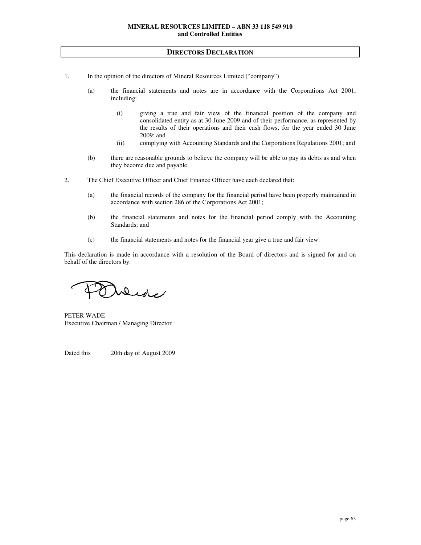## **DIRECTORS DECLARATION**

- 1. In the opinion of the directors of Mineral Resources Limited ("company")
	- (a) the financial statements and notes are in accordance with the Corporations Act 2001, including:
		- (i) giving a true and fair view of the financial position of the company and consolidated entity as at 30 June 2009 and of their performance, as represented by the results of their operations and their cash flows, for the year ended 30 June 2009; and
		- (ii) complying with Accounting Standards and the Corporations Regulations 2001; and
	- (b) there are reasonable grounds to believe the company will be able to pay its debts as and when they become due and payable.
- 2. The Chief Executive Officer and Chief Finance Officer have each declared that:
	- (a) the financial records of the company for the financial period have been properly maintained in accordance with section 286 of the Corporations Act 2001;
	- (b) the financial statements and notes for the financial period comply with the Accounting Standards; and
	- (c) the financial statements and notes for the financial year give a true and fair view.

This declaration is made in accordance with a resolution of the Board of directors and is signed for and on behalf of the directors by:

Dede

PETER WADE Executive Chairman / Managing Director

Dated this 20th day of August 2009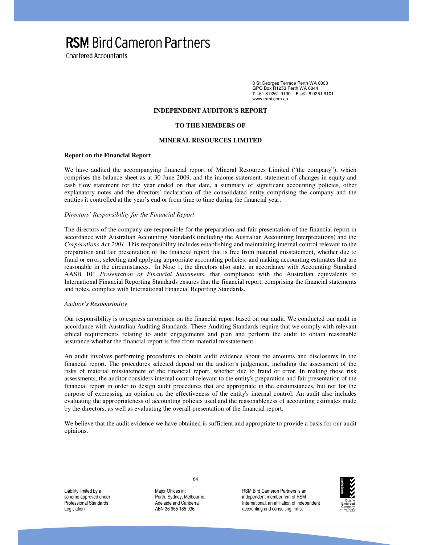**RSM Bird Cameron Partners** 

**Chartered Accountants** 

8 St Georges Terrace Perth WA 6000 GPO Box R1253 Perth WA 6844 **T** +61 8 9261 9100 **F** +61 8 9261 9101 www.rsmi.com.au

## **INDEPENDENT AUDITOR'S REPORT**

#### **TO THE MEMBERS OF**

## **MINERAL RESOURCES LIMITED**

## **Report on the Financial Report**

We have audited the accompanying financial report of Mineral Resources Limited ("the company"), which comprises the balance sheet as at 30 June 2009, and the income statement, statement of changes in equity and cash flow statement for the year ended on that date, a summary of significant accounting policies, other explanatory notes and the directors' declaration of the consolidated entity comprising the company and the entities it controlled at the year's end or from time to time during the financial year.

## *Directors' Responsibility for the Financial Report*

The directors of the company are responsible for the preparation and fair presentation of the financial report in accordance with Australian Accounting Standards (including the Australian Accounting Interpretations) and the *Corporations Act 2001*. This responsibility includes establishing and maintaining internal control relevant to the preparation and fair presentation of the financial report that is free from material misstatement, whether due to fraud or error; selecting and applying appropriate accounting policies; and making accounting estimates that are reasonable in the circumstances. In Note 1, the directors also state, in accordance with Accounting Standard AASB 101 *Presentation of Financial Statements*, that compliance with the Australian equivalents to International Financial Reporting Standards ensures that the financial report, comprising the financial statements and notes, complies with International Financial Reporting Standards.

#### *Auditor's Responsibility*

Our responsibility is to express an opinion on the financial report based on our audit. We conducted our audit in accordance with Australian Auditing Standards. These Auditing Standards require that we comply with relevant ethical requirements relating to audit engagements and plan and perform the audit to obtain reasonable assurance whether the financial report is free from material misstatement.

An audit involves performing procedures to obtain audit evidence about the amounts and disclosures in the financial report. The procedures selected depend on the auditor's judgement, including the assessment of the risks of material misstatement of the financial report, whether due to fraud or error. In making those risk assessments, the auditor considers internal control relevant to the entity's preparation and fair presentation of the financial report in order to design audit procedures that are appropriate in the circumstances, but not for the purpose of expressing an opinion on the effectiveness of the entity's internal control. An audit also includes evaluating the appropriateness of accounting policies used and the reasonableness of accounting estimates made by the directors, as well as evaluating the overall presentation of the financial report.

We believe that the audit evidence we have obtained is sufficient and appropriate to provide a basis for our audit opinions.

Liability limited by a scheme approved under Professional Standards Legislation

64

Major Offices in: Perth, Sydney, Melbourne, Adelaide and Canberra ABN 36 965 185 036

RSM Bird Cameron Partners is an independent member firm of RSM International, an affiliation of independent accounting and consulting firms.